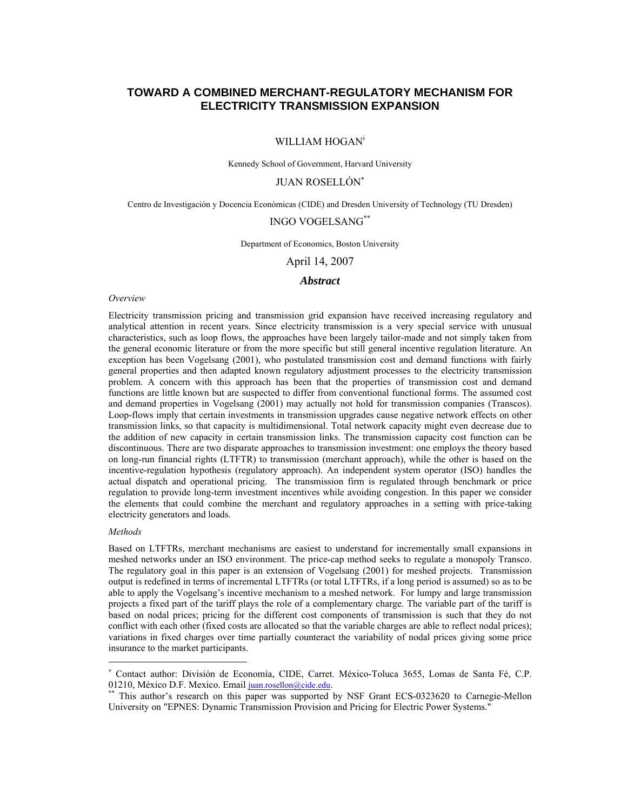# **TOWARD A COMBINED MERCHANT-REGULATORY MECHANISM FOR ELECTRICITY TRANSMISSION EXPANSION**

### WILLIAM HOGAN<sup>i</sup>

#### Kennedy School of Government, Harvard University

# JUAN ROSELLÓN<sup>∗</sup>

Centro de Investigación y Docencia Económicas (CIDE) and Dresden University of Technology (TU Dresden)

# INGO VOGELSANG\*\*

Department of Economics, Boston University

#### April 14, 2007

### *Abstract*

#### *Overview*

Electricity transmission pricing and transmission grid expansion have received increasing regulatory and analytical attention in recent years. Since electricity transmission is a very special service with unusual characteristics, such as loop flows, the approaches have been largely tailor-made and not simply taken from the general economic literature or from the more specific but still general incentive regulation literature. An exception has been Vogelsang (2001), who postulated transmission cost and demand functions with fairly general properties and then adapted known regulatory adjustment processes to the electricity transmission problem. A concern with this approach has been that the properties of transmission cost and demand functions are little known but are suspected to differ from conventional functional forms. The assumed cost and demand properties in Vogelsang (2001) may actually not hold for transmission companies (Transcos). Loop-flows imply that certain investments in transmission upgrades cause negative network effects on other transmission links, so that capacity is multidimensional. Total network capacity might even decrease due to the addition of new capacity in certain transmission links. The transmission capacity cost function can be discontinuous. There are two disparate approaches to transmission investment: one employs the theory based on long-run financial rights (LTFTR) to transmission (merchant approach), while the other is based on the incentive-regulation hypothesis (regulatory approach). An independent system operator (ISO) handles the actual dispatch and operational pricing. The transmission firm is regulated through benchmark or price regulation to provide long-term investment incentives while avoiding congestion. In this paper we consider the elements that could combine the merchant and regulatory approaches in a setting with price-taking electricity generators and loads.

#### *Methods*

 $\overline{a}$ 

Based on LTFTRs, merchant mechanisms are easiest to understand for incrementally small expansions in meshed networks under an ISO environment. The price-cap method seeks to regulate a monopoly Transco. The regulatory goal in this paper is an extension of Vogelsang (2001) for meshed projects. Transmission output is redefined in terms of incremental LTFTRs (or total LTFTRs, if a long period is assumed) so as to be able to apply the Vogelsang's incentive mechanism to a meshed network. For lumpy and large transmission projects a fixed part of the tariff plays the role of a complementary charge. The variable part of the tariff is based on nodal prices; pricing for the different cost components of transmission is such that they do not conflict with each other (fixed costs are allocated so that the variable charges are able to reflect nodal prices); variations in fixed charges over time partially counteract the variability of nodal prices giving some price insurance to the market participants.

<sup>∗</sup> Contact author: División de Economía, CIDE, Carret. México-Toluca 3655, Lomas de Santa Fé, C.P.

<sup>01210,</sup> México D.F. Mexico. Email *juan.rosellon@cide.edu.* \*\*<br>\*\* This author's research on this paper was supported by NSF Grant ECS-0323620 to Carnegie-Mellon University on "EPNES: Dynamic Transmission Provision and Pricing for Electric Power Systems."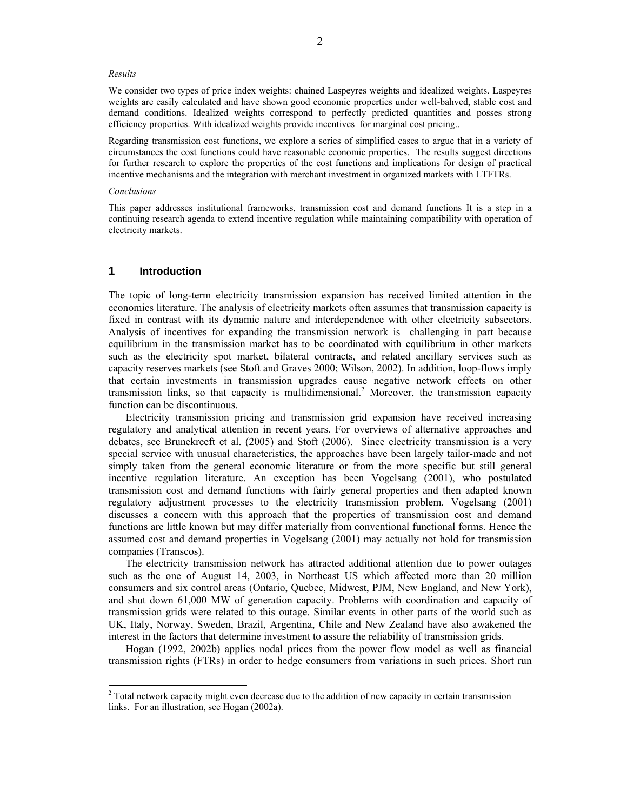#### *Results*

We consider two types of price index weights: chained Laspeyres weights and idealized weights. Laspeyres weights are easily calculated and have shown good economic properties under well-bahved, stable cost and demand conditions. Idealized weights correspond to perfectly predicted quantities and posses strong efficiency properties. With idealized weights provide incentives for marginal cost pricing..

Regarding transmission cost functions, we explore a series of simplified cases to argue that in a variety of circumstances the cost functions could have reasonable economic properties. The results suggest directions for further research to explore the properties of the cost functions and implications for design of practical incentive mechanisms and the integration with merchant investment in organized markets with LTFTRs.

#### *Conclusions*

This paper addresses institutional frameworks, transmission cost and demand functions It is a step in a continuing research agenda to extend incentive regulation while maintaining compatibility with operation of electricity markets.

# **1 Introduction**

The topic of long-term electricity transmission expansion has received limited attention in the economics literature. The analysis of electricity markets often assumes that transmission capacity is fixed in contrast with its dynamic nature and interdependence with other electricity subsectors. Analysis of incentives for expanding the transmission network is challenging in part because equilibrium in the transmission market has to be coordinated with equilibrium in other markets such as the electricity spot market, bilateral contracts, and related ancillary services such as capacity reserves markets (see Stoft and Graves 2000; Wilson, 2002). In addition, loop-flows imply that certain investments in transmission upgrades cause negative network effects on other transmission links, so that capacity is multidimensional.<sup>2</sup> Moreover, the transmission capacity function can be discontinuous.

Electricity transmission pricing and transmission grid expansion have received increasing regulatory and analytical attention in recent years. For overviews of alternative approaches and debates, see Brunekreeft et al. (2005) and Stoft (2006). Since electricity transmission is a very special service with unusual characteristics, the approaches have been largely tailor-made and not simply taken from the general economic literature or from the more specific but still general incentive regulation literature. An exception has been Vogelsang (2001), who postulated transmission cost and demand functions with fairly general properties and then adapted known regulatory adjustment processes to the electricity transmission problem. Vogelsang (2001) discusses a concern with this approach that the properties of transmission cost and demand functions are little known but may differ materially from conventional functional forms. Hence the assumed cost and demand properties in Vogelsang (2001) may actually not hold for transmission companies (Transcos).

The electricity transmission network has attracted additional attention due to power outages such as the one of August 14, 2003, in Northeast US which affected more than 20 million consumers and six control areas (Ontario, Quebec, Midwest, PJM, New England, and New York), and shut down 61,000 MW of generation capacity. Problems with coordination and capacity of transmission grids were related to this outage. Similar events in other parts of the world such as UK, Italy, Norway, Sweden, Brazil, Argentina, Chile and New Zealand have also awakened the interest in the factors that determine investment to assure the reliability of transmission grids.

Hogan (1992, 2002b) applies nodal prices from the power flow model as well as financial transmission rights (FTRs) in order to hedge consumers from variations in such prices. Short run

<sup>&</sup>lt;sup>2</sup> Total network capacity might even decrease due to the addition of new capacity in certain transmission links. For an illustration, see Hogan (2002a).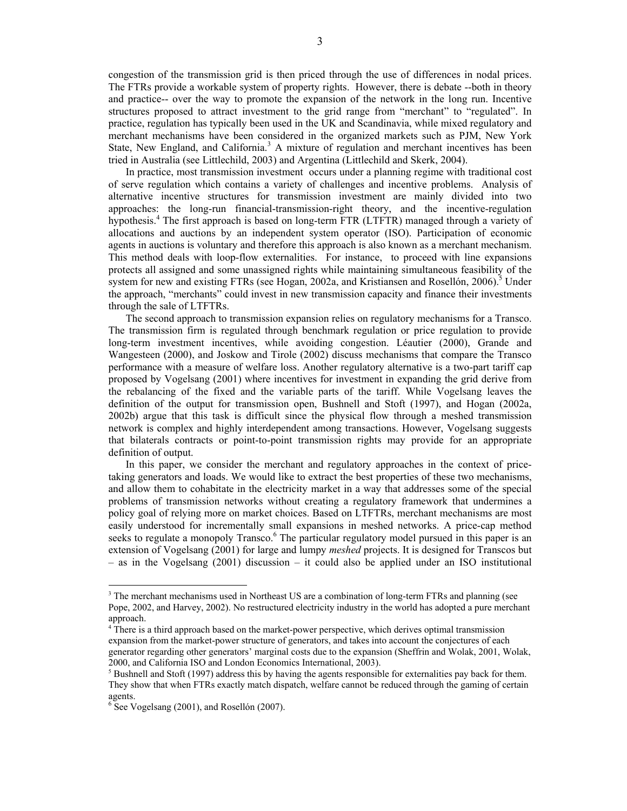congestion of the transmission grid is then priced through the use of differences in nodal prices. The FTRs provide a workable system of property rights. However, there is debate --both in theory and practice-- over the way to promote the expansion of the network in the long run. Incentive structures proposed to attract investment to the grid range from "merchant" to "regulated". In practice, regulation has typically been used in the UK and Scandinavia, while mixed regulatory and merchant mechanisms have been considered in the organized markets such as PJM, New York State, New England, and California. $3$  A mixture of regulation and merchant incentives has been tried in Australia (see Littlechild, 2003) and Argentina (Littlechild and Skerk, 2004).

In practice, most transmission investment occurs under a planning regime with traditional cost of serve regulation which contains a variety of challenges and incentive problems. Analysis of alternative incentive structures for transmission investment are mainly divided into two approaches: the long-run financial-transmission-right theory, and the incentive-regulation hypothesis.<sup>4</sup> The first approach is based on long-term FTR (LTFTR) managed through a variety of allocations and auctions by an independent system operator (ISO). Participation of economic agents in auctions is voluntary and therefore this approach is also known as a merchant mechanism. This method deals with loop-flow externalities. For instance, to proceed with line expansions protects all assigned and some unassigned rights while maintaining simultaneous feasibility of the system for new and existing FTRs (see Hogan, 2002a, and Kristiansen and Rosellón, 2006).<sup>5</sup> Under the approach, "merchants" could invest in new transmission capacity and finance their investments through the sale of LTFTRs.

The second approach to transmission expansion relies on regulatory mechanisms for a Transco. The transmission firm is regulated through benchmark regulation or price regulation to provide long-term investment incentives, while avoiding congestion. Léautier (2000), Grande and Wangesteen (2000), and Joskow and Tirole (2002) discuss mechanisms that compare the Transco performance with a measure of welfare loss. Another regulatory alternative is a two-part tariff cap proposed by Vogelsang (2001) where incentives for investment in expanding the grid derive from the rebalancing of the fixed and the variable parts of the tariff. While Vogelsang leaves the definition of the output for transmission open, Bushnell and Stoft (1997), and Hogan (2002a, 2002b) argue that this task is difficult since the physical flow through a meshed transmission network is complex and highly interdependent among transactions. However, Vogelsang suggests that bilaterals contracts or point-to-point transmission rights may provide for an appropriate definition of output.

In this paper, we consider the merchant and regulatory approaches in the context of pricetaking generators and loads. We would like to extract the best properties of these two mechanisms, and allow them to cohabitate in the electricity market in a way that addresses some of the special problems of transmission networks without creating a regulatory framework that undermines a policy goal of relying more on market choices. Based on LTFTRs, merchant mechanisms are most easily understood for incrementally small expansions in meshed networks. A price-cap method seeks to regulate a monopoly Transco.<sup>6</sup> The particular regulatory model pursued in this paper is an extension of Vogelsang (2001) for large and lumpy *meshed* projects. It is designed for Transcos but – as in the Vogelsang (2001) discussion – it could also be applied under an ISO institutional

 $\overline{a}$ 

<sup>&</sup>lt;sup>3</sup> The merchant mechanisms used in Northeast US are a combination of long-term FTRs and planning (see Pope, 2002, and Harvey, 2002). No restructured electricity industry in the world has adopted a pure merchant approach.

<sup>4</sup> There is a third approach based on the market-power perspective, which derives optimal transmission expansion from the market-power structure of generators, and takes into account the conjectures of each generator regarding other generators' marginal costs due to the expansion (Sheffrin and Wolak, 2001, Wolak, 2000, and California ISO and London Economics International, 2003).

 $<sup>5</sup>$  Bushnell and Stoft (1997) address this by having the agents responsible for externalities pay back for them.</sup> They show that when FTRs exactly match dispatch, welfare cannot be reduced through the gaming of certain agents.

<sup>&</sup>lt;sup>6</sup> See Vogelsang (2001), and Rosellón (2007).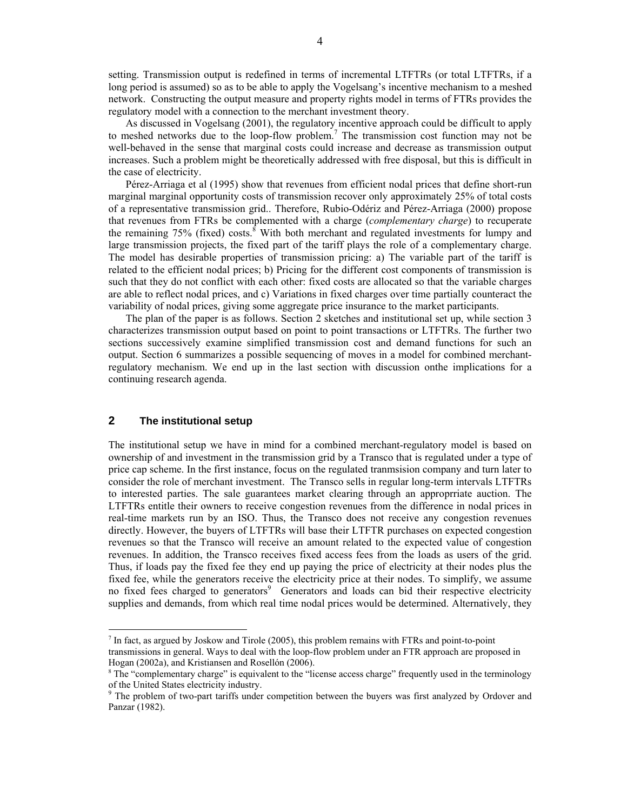setting. Transmission output is redefined in terms of incremental LTFTRs (or total LTFTRs, if a long period is assumed) so as to be able to apply the Vogelsang's incentive mechanism to a meshed network. Constructing the output measure and property rights model in terms of FTRs provides the regulatory model with a connection to the merchant investment theory.

As discussed in Vogelsang (2001), the regulatory incentive approach could be difficult to apply to meshed networks due to the loop-flow problem.<sup>7</sup> The transmission cost function may not be well-behaved in the sense that marginal costs could increase and decrease as transmission output increases. Such a problem might be theoretically addressed with free disposal, but this is difficult in the case of electricity.

Pérez-Arriaga et al (1995) show that revenues from efficient nodal prices that define short-run marginal marginal opportunity costs of transmission recover only approximately 25% of total costs of a representative transmission grid.. Therefore, Rubio-Odériz and Pérez-Arriaga (2000) propose that revenues from FTRs be complemented with a charge (*complementary charge*) to recuperate the remaining 75% (fixed) costs.<sup>8</sup> With both merchant and regulated investments for lumpy and large transmission projects, the fixed part of the tariff plays the role of a complementary charge. The model has desirable properties of transmission pricing: a) The variable part of the tariff is related to the efficient nodal prices; b) Pricing for the different cost components of transmission is such that they do not conflict with each other: fixed costs are allocated so that the variable charges are able to reflect nodal prices, and c) Variations in fixed charges over time partially counteract the variability of nodal prices, giving some aggregate price insurance to the market participants.

The plan of the paper is as follows. Section 2 sketches and institutional set up, while section 3 characterizes transmission output based on point to point transactions or LTFTRs. The further two sections successively examine simplified transmission cost and demand functions for such an output. Section 6 summarizes a possible sequencing of moves in a model for combined merchantregulatory mechanism. We end up in the last section with discussion onthe implications for a continuing research agenda.

# **2 The institutional setup**

 $\overline{\phantom{a}}$ 

The institutional setup we have in mind for a combined merchant-regulatory model is based on ownership of and investment in the transmission grid by a Transco that is regulated under a type of price cap scheme. In the first instance, focus on the regulated tranmsision company and turn later to consider the role of merchant investment. The Transco sells in regular long-term intervals LTFTRs to interested parties. The sale guarantees market clearing through an approprriate auction. The LTFTRs entitle their owners to receive congestion revenues from the difference in nodal prices in real-time markets run by an ISO. Thus, the Transco does not receive any congestion revenues directly. However, the buyers of LTFTRs will base their LTFTR purchases on expected congestion revenues so that the Transco will receive an amount related to the expected value of congestion revenues. In addition, the Transco receives fixed access fees from the loads as users of the grid. Thus, if loads pay the fixed fee they end up paying the price of electricity at their nodes plus the fixed fee, while the generators receive the electricity price at their nodes. To simplify, we assume no fixed fees charged to generators<sup>9</sup> Generators and loads can bid their respective electricity supplies and demands, from which real time nodal prices would be determined. Alternatively, they

<sup>7</sup> In fact, as argued by Joskow and Tirole (2005), this problem remains with FTRs and point-to-point transmissions in general. Ways to deal with the loop-flow problem under an FTR approach are proposed in Hogan (2002a), and Kristiansen and Rosellón (2006).

<sup>&</sup>lt;sup>8</sup> The "complementary charge" is equivalent to the "license access charge" frequently used in the terminology of the United States electricity industry.

<sup>&</sup>lt;sup>9</sup> The problem of two-part tariffs under competition between the buyers was first analyzed by Ordover and Panzar (1982).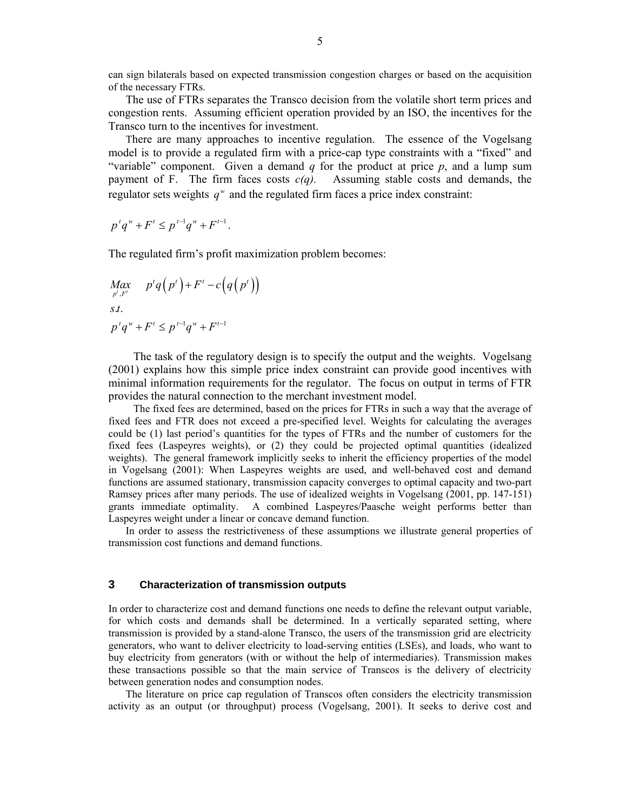can sign bilaterals based on expected transmission congestion charges or based on the acquisition of the necessary FTRs.

The use of FTRs separates the Transco decision from the volatile short term prices and congestion rents. Assuming efficient operation provided by an ISO, the incentives for the Transco turn to the incentives for investment.

There are many approaches to incentive regulation. The essence of the Vogelsang model is to provide a regulated firm with a price-cap type constraints with a "fixed" and "variable" component. Given a demand  $q$  for the product at price  $p$ , and a lump sum payment of F. The firm faces costs *c(q).* Assuming stable costs and demands, the regulator sets weights  $q^w$  and the regulated firm faces a price index constraint:

$$
p^t q^w + F^t \le p^{t-1} q^w + F^{t-1}.
$$

The regulated firm's profit maximization problem becomes:

$$
\begin{aligned} \underset{p', F'}{Max} & p'q(p') + F' - c(q(p'))\\ \text{s.t.} \\ p'q^w + F' &\leq p'^{-1}q^w + F'^{-1} \end{aligned}
$$

 The task of the regulatory design is to specify the output and the weights. Vogelsang (2001) explains how this simple price index constraint can provide good incentives with minimal information requirements for the regulator. The focus on output in terms of FTR provides the natural connection to the merchant investment model.

 The fixed fees are determined, based on the prices for FTRs in such a way that the average of fixed fees and FTR does not exceed a pre-specified level. Weights for calculating the averages could be (1) last period's quantities for the types of FTRs and the number of customers for the fixed fees (Laspeyres weights), or (2) they could be projected optimal quantities (idealized weights). The general framework implicitly seeks to inherit the efficiency properties of the model in Vogelsang (2001): When Laspeyres weights are used, and well-behaved cost and demand functions are assumed stationary, transmission capacity converges to optimal capacity and two-part Ramsey prices after many periods. The use of idealized weights in Vogelsang (2001, pp. 147-151) grants immediate optimality. A combined Laspeyres/Paasche weight performs better than Laspeyres weight under a linear or concave demand function.

In order to assess the restrictiveness of these assumptions we illustrate general properties of transmission cost functions and demand functions.

# **3 Characterization of transmission outputs**

In order to characterize cost and demand functions one needs to define the relevant output variable, for which costs and demands shall be determined. In a vertically separated setting, where transmission is provided by a stand-alone Transco, the users of the transmission grid are electricity generators, who want to deliver electricity to load-serving entities (LSEs), and loads, who want to buy electricity from generators (with or without the help of intermediaries). Transmission makes these transactions possible so that the main service of Transcos is the delivery of electricity between generation nodes and consumption nodes.

The literature on price cap regulation of Transcos often considers the electricity transmission activity as an output (or throughput) process (Vogelsang, 2001). It seeks to derive cost and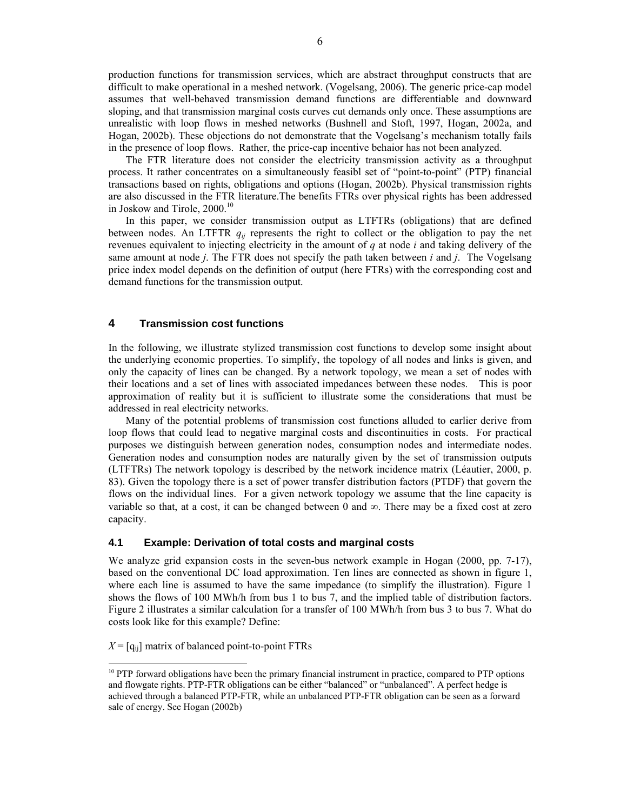production functions for transmission services, which are abstract throughput constructs that are difficult to make operational in a meshed network. (Vogelsang, 2006). The generic price-cap model assumes that well-behaved transmission demand functions are differentiable and downward sloping, and that transmission marginal costs curves cut demands only once. These assumptions are unrealistic with loop flows in meshed networks (Bushnell and Stoft, 1997, Hogan, 2002a, and Hogan, 2002b). These objections do not demonstrate that the Vogelsang's mechanism totally fails in the presence of loop flows. Rather, the price-cap incentive behaior has not been analyzed.

The FTR literature does not consider the electricity transmission activity as a throughput process. It rather concentrates on a simultaneously feasibl set of "point-to-point" (PTP) financial transactions based on rights, obligations and options (Hogan, 2002b). Physical transmission rights are also discussed in the FTR literature.The benefits FTRs over physical rights has been addressed in Joskow and Tirole,  $2000^{10}$ 

In this paper, we consider transmission output as LTFTRs (obligations) that are defined between nodes. An LTFTR  $q_{ij}$  represents the right to collect or the obligation to pay the net revenues equivalent to injecting electricity in the amount of *q* at node *i* and taking delivery of the same amount at node *j*. The FTR does not specify the path taken between *i* and *j*. The Vogelsang price index model depends on the definition of output (here FTRs) with the corresponding cost and demand functions for the transmission output.

# **4 Transmission cost functions**

In the following, we illustrate stylized transmission cost functions to develop some insight about the underlying economic properties. To simplify, the topology of all nodes and links is given, and only the capacity of lines can be changed. By a network topology, we mean a set of nodes with their locations and a set of lines with associated impedances between these nodes. This is poor approximation of reality but it is sufficient to illustrate some the considerations that must be addressed in real electricity networks.

Many of the potential problems of transmission cost functions alluded to earlier derive from loop flows that could lead to negative marginal costs and discontinuities in costs. For practical purposes we distinguish between generation nodes, consumption nodes and intermediate nodes. Generation nodes and consumption nodes are naturally given by the set of transmission outputs (LTFTRs) The network topology is described by the network incidence matrix (Léautier, 2000, p. 83). Given the topology there is a set of power transfer distribution factors (PTDF) that govern the flows on the individual lines. For a given network topology we assume that the line capacity is variable so that, at a cost, it can be changed between 0 and  $\infty$ . There may be a fixed cost at zero capacity.

#### **4.1 Example: Derivation of total costs and marginal costs**

We analyze grid expansion costs in the seven-bus network example in Hogan (2000, pp. 7-17), based on the conventional DC load approximation. Ten lines are connected as shown in figure 1, where each line is assumed to have the same impedance (to simplify the illustration). Figure 1 shows the flows of 100 MWh/h from bus 1 to bus 7, and the implied table of distribution factors. Figure 2 illustrates a similar calculation for a transfer of 100 MWh/h from bus 3 to bus 7. What do costs look like for this example? Define:

 $X = [q_{ij}]$  matrix of balanced point-to-point FTRs

 $\overline{a}$ 

<sup>&</sup>lt;sup>10</sup> PTP forward obligations have been the primary financial instrument in practice, compared to PTP options and flowgate rights. PTP-FTR obligations can be either "balanced" or "unbalanced". A perfect hedge is achieved through a balanced PTP-FTR, while an unbalanced PTP-FTR obligation can be seen as a forward sale of energy. See Hogan (2002b)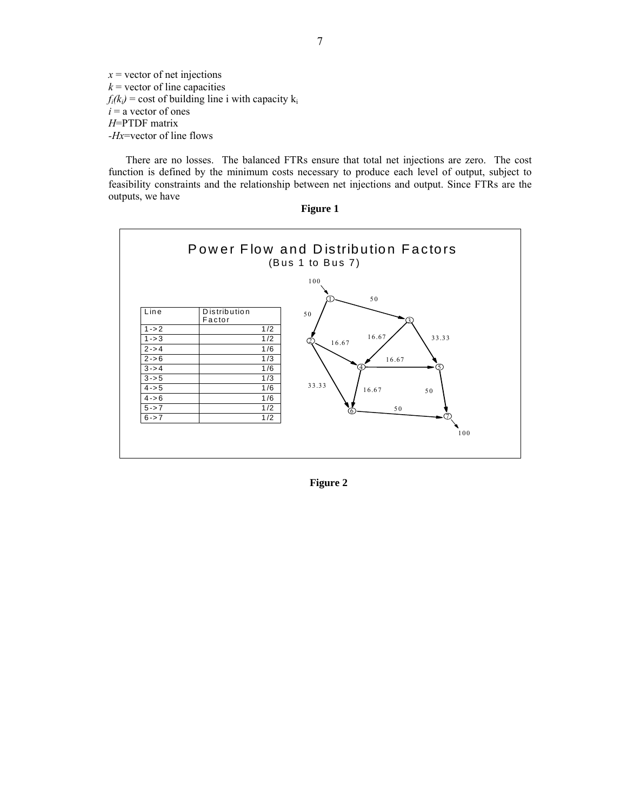$x =$  vector of net injections  $k$  = vector of line capacities  $f_i(k_i)$  = cost of building line i with capacity  $k_i$  $i = a$  vector of ones *H*=PTDF matrix *-Hx*=vector of line flows

There are no losses. The balanced FTRs ensure that total net injections are zero. The cost function is defined by the minimum costs necessary to produce each level of output, subject to feasibility constraints and the relationship between net injections and output. Since FTRs are the outputs, we have





**Figure 2**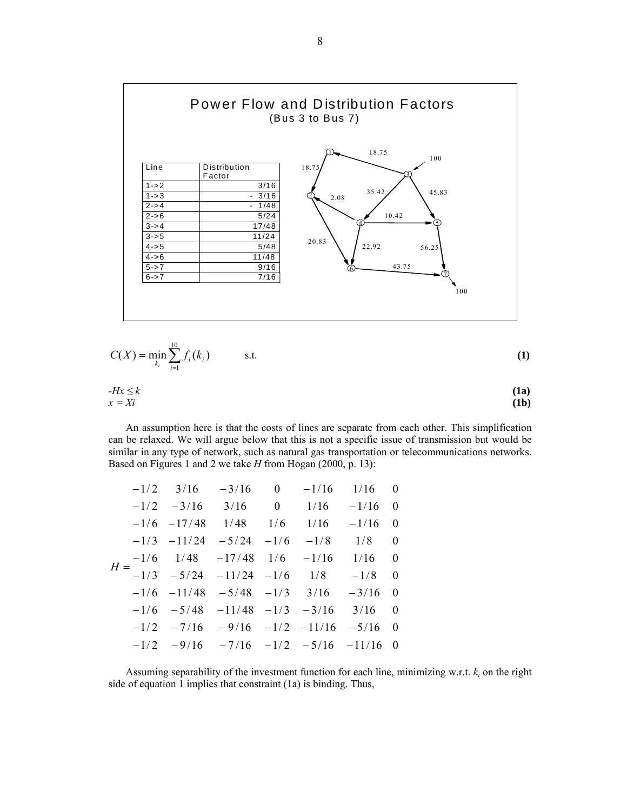

$$
C(X) = \min_{k_i} \sum_{i=1}^{10} f_i(k_i)
$$
 s.t. (1)  
-*Hx*  $\leq$  *k*

$$
x = Xi \tag{1b}
$$

An assumption here is that the costs of lines are separate from each other. This simplification can be relaxed. We will argue below that this is not a specific issue of transmission but would be similar in any type of network, such as natural gas transportation or telecommunications networks. Based on Figures 1 and 2 we take *H* from Hogan (2000, p. 13):

|       |                | $-1/2$ $3/16$ $-3/16$ 0                          | $-1/16$ | 1/16    | $\theta$                 |
|-------|----------------|--------------------------------------------------|---------|---------|--------------------------|
|       |                | $-1/2$ $-3/16$ $3/16$ 0                          | 1/16    | $-1/16$ | $\overline{0}$           |
|       |                | $-1/6$ $-17/48$ $1/48$ $1/6$                     | 1/16    | $-1/16$ | - 0                      |
|       |                | $-1/3$ $-11/24$ $-5/24$ $-1/6$ $-1/8$            |         | 1/8     | $\overline{0}$           |
| $H =$ | $-1/6$ 1/48    | $-17/48$ $1/6$ $-1/16$                           |         | 1/16    | $\overline{\mathbf{0}}$  |
|       |                | $-1/3$ $-5/24$ $-11/24$ $-1/6$ $1/8$             |         | $-1/8$  | $\overline{\phantom{0}}$ |
|       |                | $-1/6$ $-11/48$ $-5/48$ $-1/3$ $3/16$            |         | $-3/16$ | $\theta$                 |
|       | $-1/6$ $-5/48$ | $-11/48$ $-1/3$ $-3/16$                          |         | 3/16    | $\theta$                 |
|       |                | $-1/2$ $-7/16$ $-9/16$ $-1/2$ $-11/16$           |         | $-5/16$ | $\theta$                 |
|       |                | $-1/2$ $-9/16$ $-7/16$ $-1/2$ $-5/16$ $-11/16$ 0 |         |         |                          |

Assuming separability of the investment function for each line, minimizing w.r.t.  $k_i$  on the right side of equation 1 implies that constraint (1a) is binding. Thus,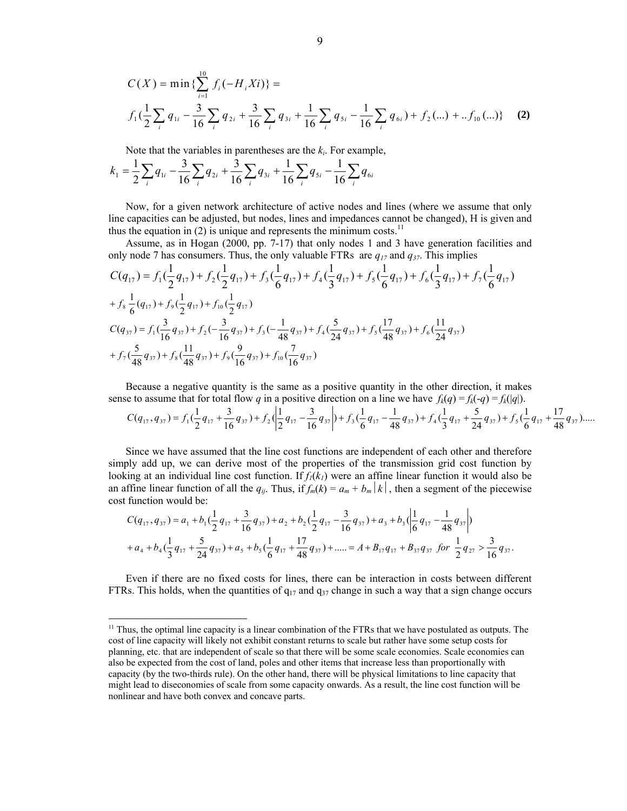$$
C(X) = \min \{ \sum_{i=1}^{10} f_i(-H_iXi) \} =
$$
  

$$
f_1(\frac{1}{2} \sum_i q_{1i} - \frac{3}{16} \sum_i q_{2i} + \frac{3}{16} \sum_i q_{3i} + \frac{1}{16} \sum_i q_{5i} - \frac{1}{16} \sum_i q_{6i}) + f_2(...) + ...f_{10}(...) \}
$$
 (2)

Note that the variables in parentheses are the *ki*. For example,

$$
k_1 = \frac{1}{2} \sum_i q_{1i} - \frac{3}{16} \sum_i q_{2i} + \frac{3}{16} \sum_i q_{3i} + \frac{1}{16} \sum_i q_{5i} - \frac{1}{16} \sum_i q_{6i}
$$

Now, for a given network architecture of active nodes and lines (where we assume that only line capacities can be adjusted, but nodes, lines and impedances cannot be changed), H is given and thus the equation in (2) is unique and represents the minimum costs.<sup>11</sup>

Assume, as in Hogan (2000, pp. 7-17) that only nodes 1 and 3 have generation facilities and only node 7 has consumers. Thus, the only valuable FTRs are  $q_{17}$  and  $q_{37}$ . This implies

$$
C(q_{17}) = f_1(\frac{1}{2}q_{17}) + f_2(\frac{1}{2}q_{17}) + f_3(\frac{1}{6}q_{17}) + f_4(\frac{1}{3}q_{17}) + f_5(\frac{1}{6}q_{17}) + f_6(\frac{1}{3}q_{17}) + f_7(\frac{1}{6}q_{17})
$$
  
+  $f_8 \frac{1}{6}(q_{17}) + f_9(\frac{1}{2}q_{17}) + f_{10}(\frac{1}{2}q_{17})$   

$$
C(q_{37}) = f_1(\frac{3}{16}q_{37}) + f_2(-\frac{3}{16}q_{37}) + f_3(-\frac{1}{48}q_{37}) + f_4(\frac{5}{24}q_{37}) + f_5(\frac{17}{48}q_{37}) + f_6(\frac{11}{24}q_{37})
$$
  
+  $f_7(\frac{5}{48}q_{37}) + f_8(\frac{11}{48}q_{37}) + f_9(\frac{9}{16}q_{37}) + f_{10}(\frac{7}{16}q_{37})$ 

Because a negative quantity is the same as a positive quantity in the other direction, it makes sense to assume that for total flow *q* in a positive direction on a line we have  $f_k(q) = f_k(-q) = f_k(q)$ .

$$
C(q_{17},q_{37})=f_1(\frac{1}{2}q_{17}+\frac{3}{16}q_{37})+f_2(\frac{1}{2}q_{17}-\frac{3}{16}q_{37}\bigg)+f_3(\frac{1}{6}q_{17}-\frac{1}{48}q_{37})+f_4(\frac{1}{3}q_{17}+\frac{5}{24}q_{37})+f_5(\frac{1}{6}q_{17}+\frac{17}{48}q_{37})....
$$

Since we have assumed that the line cost functions are independent of each other and therefore simply add up, we can derive most of the properties of the transmission grid cost function by looking at an individual line cost function. If  $f_1(k)$  were an affine linear function it would also be an affine linear function of all the  $q_{ij}$ . Thus, if  $f_m(k) = a_m + b_m |k|$ , then a segment of the piecewise cost function would be:

$$
C(q_{17}, q_{37}) = a_1 + b_1 \left(\frac{1}{2}q_{17} + \frac{3}{16}q_{37}\right) + a_2 + b_2 \left(\frac{1}{2}q_{17} - \frac{3}{16}q_{37}\right) + a_3 + b_3 \left(\frac{1}{6}q_{17} - \frac{1}{48}q_{37}\right)
$$
  
+ a\_4 + b\_4 \left(\frac{1}{3}q\_{17} + \frac{5}{24}q\_{37}\right) + a\_5 + b\_5 \left(\frac{1}{6}q\_{17} + \frac{17}{48}q\_{37}\right) + \dots = A + B\_{17}q\_{17} + B\_{37}q\_{37} \text{ for } \frac{1}{2}q\_{27} > \frac{3}{16}q\_{37}.

Even if there are no fixed costs for lines, there can be interaction in costs between different FTRs. This holds, when the quantities of  $q_{17}$  and  $q_{37}$  change in such a way that a sign change occurs

l

 $<sup>11</sup>$  Thus, the optimal line capacity is a linear combination of the FTRs that we have postulated as outputs. The</sup> cost of line capacity will likely not exhibit constant returns to scale but rather have some setup costs for planning, etc. that are independent of scale so that there will be some scale economies. Scale economies can also be expected from the cost of land, poles and other items that increase less than proportionally with capacity (by the two-thirds rule). On the other hand, there will be physical limitations to line capacity that might lead to diseconomies of scale from some capacity onwards. As a result, the line cost function will be nonlinear and have both convex and concave parts.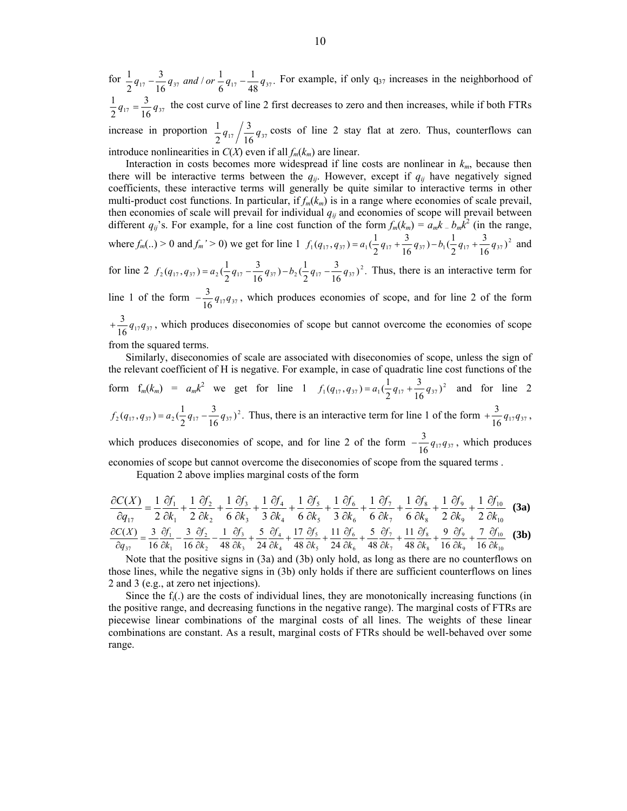for  $\frac{1}{2}q_{17} - \frac{3}{16}q_{37}$  and / or  $\frac{1}{6}q_{17} - \frac{1}{48}q_{37}$ .  $\frac{3}{16}q_{37}$  and / or  $\frac{1}{6}$ 3 2  $\frac{1}{2}q_{17} - \frac{3}{16}q_{37}$  *and* / or  $\frac{1}{6}q_{17} - \frac{1}{48}q_{37}$ . For example, if only  $q_{37}$  increases in the neighborhood of  $17 - 16^{937}$ 3 2  $\frac{1}{2}q_{17} = \frac{3}{2}q_{37}$  the cost curve of line 2 first decreases to zero and then increases, while if both FTRs increase in proportion  $\frac{1}{2}q_{17}/\frac{3}{16}q_{37}$ 2  $\frac{1}{2}q_{17}/\frac{3}{16}q_{37}$  costs of line 2 stay flat at zero. Thus, counterflows can introduce nonlinearities in  $C(X)$  even if all  $f_m(k_m)$  are linear.

Interaction in costs becomes more widespread if line costs are nonlinear in  $k_m$ , because then there will be interactive terms between the  $q_{ij}$ . However, except if  $q_{ij}$  have negatively signed coefficients, these interactive terms will generally be quite similar to interactive terms in other multi-product cost functions. In particular, if  $f_m(k_m)$  is in a range where economies of scale prevail, then economies of scale will prevail for individual  $q_{ij}$  and economies of scope will prevail between different  $q_{ij}$ 's. For example, for a line cost function of the form  $f_m(k_m) = a_m k - b_m k^2$  (in the range, where  $f_m(..) > 0$  and  $f_m' > 0$ ) we get for line 1  $f_1(q_{17}, q_{37}) = a_1(\frac{1}{2}q_{17} + \frac{3}{16}q_{37}) - b_1(\frac{1}{2}q_{17} + \frac{3}{16}q_{37})^2$  $\frac{3}{16}q_{37}$ ) –  $b_1$ ( $\frac{1}{2}$  $f_1(q_{17}, q_{37}) = a_1(\frac{1}{2}q_{17} + \frac{3}{16}q_{37}) - b_1(\frac{1}{2}q_{17} + \frac{3}{16}q_{37})^2$  and

for line 2  $f_2(q_{17}, q_{37}) = a_2(\frac{1}{2}q_{17} - \frac{3}{16}q_{37}) - b_2(\frac{1}{2}q_{17} - \frac{3}{16}q_{37})^2$ .  $\frac{3}{16}q_{37}$ ) –  $b_2$ ( $\frac{1}{2}$  $f_2(q_{17}, q_{37}) = a_2(\frac{1}{2}q_{17} - \frac{3}{16}q_{37}) - b_2(\frac{1}{2}q_{17} - \frac{3}{16}q_{37})^2$ . Thus, there is an interactive term for

line 1 of the form  $-\frac{3}{16}q_{17}q_{37}$ , which produces economies of scope, and for line 2 of the form

 $\frac{1}{16}$ 9<sub>17</sub>9<sub>37</sub>  $+\frac{3}{16}q_{17}q_{37}$ , which produces diseconomies of scope but cannot overcome the economies of scope

from the squared terms.

Similarly, diseconomies of scale are associated with diseconomies of scope, unless the sign of the relevant coefficient of H is negative. For example, in case of quadratic line cost functions of the form  $f_m(k_m) = a_m k^2$  we get for line 1  $f_1(q_{17}, q_{37}) = a_1(\frac{1}{2}q_{17} + \frac{3}{16}q_{37})^2$  $f_1(q_{17}, q_{37}) = a_1(\frac{1}{2}q_{17} + \frac{3}{16}q_{37})^2$  and for line 2  $\frac{3}{16}q_{37})^2$ .  $f_2(q_{17}, q_{37}) = a_2(\frac{1}{2}q_{17} - \frac{3}{16}q_{37})^2$ . Thus, there is an interactive term for line 1 of the form  $+\frac{3}{16}q_{17}q_{37}$ , which produces diseconomies of scope, and for line 2 of the form  $-\frac{3}{16}q_{17}q_{37}$ , which produces economies of scope but cannot overcome the diseconomies of scope from the squared terms .

Equation 2 above implies marginal costs of the form

|  | $\frac{\partial C(X)}{\partial t} = \frac{1}{2} \frac{\partial f_1}{\partial t} + \frac{1}{2} \frac{\partial f_2}{\partial t} + \frac{1}{2} \frac{\partial f_3}{\partial t} + \frac{1}{2} \frac{\partial f_4}{\partial t} + \frac{1}{2} \frac{\partial f_5}{\partial t} + \frac{1}{2} \frac{\partial f_6}{\partial t} + \frac{1}{2} \frac{\partial f_7}{\partial t} + \frac{1}{2} \frac{\partial f_9}{\partial t} + \frac{1}{2} \frac{\partial f_{10}}{\partial t}$ (3a)                       |  |  |  |  |  |
|--|------------------------------------------------------------------------------------------------------------------------------------------------------------------------------------------------------------------------------------------------------------------------------------------------------------------------------------------------------------------------------------------------------------------------------------------------------------------------------------------------|--|--|--|--|--|
|  | $\partial q_{17}$ 2 $\partial k_1$ 2 $\partial k_2$ 6 $\partial k_3$ 3 $\partial k_4$ 6 $\partial k_5$ 3 $\partial k_6$ 6 $\partial k_7$ 6 $\partial k_8$ 2 $\partial k_9$ 2 $\partial k_{10}$                                                                                                                                                                                                                                                                                                 |  |  |  |  |  |
|  |                                                                                                                                                                                                                                                                                                                                                                                                                                                                                                |  |  |  |  |  |
|  | $\frac{\partial C(X)}{\partial q_{37}} = \frac{3}{16} \frac{\partial f_1}{\partial k_1} - \frac{3}{16} \frac{\partial f_2}{\partial k_2} - \frac{1}{48} \frac{\partial f_3}{\partial k_3} + \frac{5}{24} \frac{\partial f_4}{\partial k_4} + \frac{17}{48} \frac{\partial f_5}{\partial k_5} + \frac{11}{24} \frac{\partial f_6}{\partial k_6} + \frac{5}{48} \frac{\partial f_7}{\partial k_7} + \frac{11}{48} \frac{\partial f_8}{\partial k_8} + \frac{9}{16} \frac{\partial f_9}{\partial$ |  |  |  |  |  |

Note that the positive signs in (3a) and (3b) only hold, as long as there are no counterflows on those lines, while the negative signs in (3b) only holds if there are sufficient counterflows on lines 2 and 3 (e.g., at zero net injections).

Since the  $f_i(.)$  are the costs of individual lines, they are monotonically increasing functions (in the positive range, and decreasing functions in the negative range). The marginal costs of FTRs are piecewise linear combinations of the marginal costs of all lines. The weights of these linear combinations are constant. As a result, marginal costs of FTRs should be well-behaved over some range.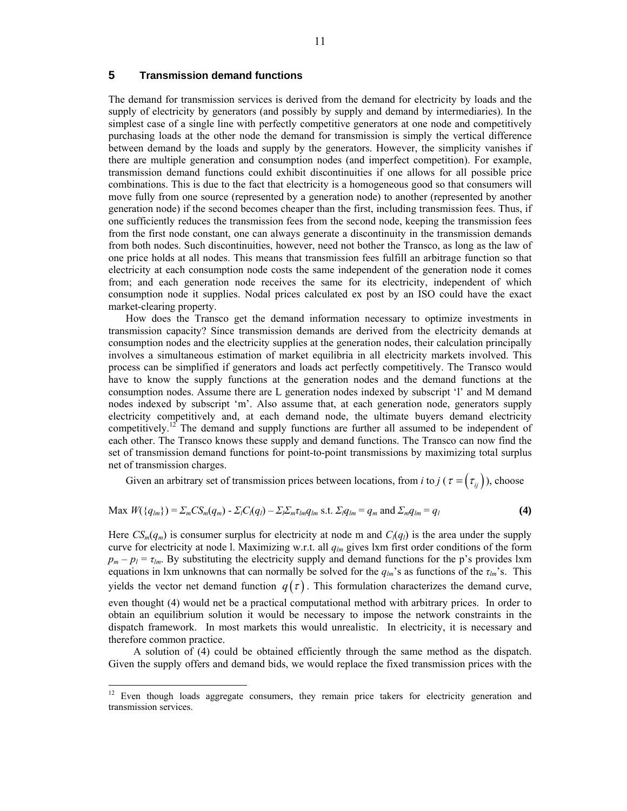# **5 Transmission demand functions**

The demand for transmission services is derived from the demand for electricity by loads and the supply of electricity by generators (and possibly by supply and demand by intermediaries). In the simplest case of a single line with perfectly competitive generators at one node and competitively purchasing loads at the other node the demand for transmission is simply the vertical difference between demand by the loads and supply by the generators. However, the simplicity vanishes if there are multiple generation and consumption nodes (and imperfect competition). For example, transmission demand functions could exhibit discontinuities if one allows for all possible price combinations. This is due to the fact that electricity is a homogeneous good so that consumers will move fully from one source (represented by a generation node) to another (represented by another generation node) if the second becomes cheaper than the first, including transmission fees. Thus, if one sufficiently reduces the transmission fees from the second node, keeping the transmission fees from the first node constant, one can always generate a discontinuity in the transmission demands from both nodes. Such discontinuities, however, need not bother the Transco, as long as the law of one price holds at all nodes. This means that transmission fees fulfill an arbitrage function so that electricity at each consumption node costs the same independent of the generation node it comes from; and each generation node receives the same for its electricity, independent of which consumption node it supplies. Nodal prices calculated ex post by an ISO could have the exact market-clearing property.

How does the Transco get the demand information necessary to optimize investments in transmission capacity? Since transmission demands are derived from the electricity demands at consumption nodes and the electricity supplies at the generation nodes, their calculation principally involves a simultaneous estimation of market equilibria in all electricity markets involved. This process can be simplified if generators and loads act perfectly competitively. The Transco would have to know the supply functions at the generation nodes and the demand functions at the consumption nodes. Assume there are L generation nodes indexed by subscript 'l' and M demand nodes indexed by subscript 'm'. Also assume that, at each generation node, generators supply electricity competitively and, at each demand node, the ultimate buyers demand electricity competitively.<sup>12</sup> The demand and supply functions are further all assumed to be independent of each other. The Transco knows these supply and demand functions. The Transco can now find the set of transmission demand functions for point-to-point transmissions by maximizing total surplus net of transmission charges.

Given an arbitrary set of transmission prices between locations, from *i* to *j* ( $\tau = (\tau_{ij})$ ), choose

$$
\text{Max } W(\{q_{lm}\}) = \sum_{m} \text{CS}_{m}(q_{m}) - \sum_{l} \text{C}_{l}(q_{l}) - \sum_{l} \sum_{m} \tau_{lm} q_{lm} \text{ s.t. } \sum_{l} q_{lm} = q_{m} \text{ and } \sum_{m} q_{lm} = q_{l} \tag{4}
$$

Here  $CS_m(q_m)$  is consumer surplus for electricity at node m and  $C_l(q_l)$  is the area under the supply curve for electricity at node l. Maximizing w.r.t. all *qlm* gives lxm first order conditions of the form  $p_m - p_l = \tau_{lm}$ . By substituting the electricity supply and demand functions for the p's provides lxm equations in lxm unknowns that can normally be solved for the *qlm*'s as functions of the *τlm*'s. This yields the vector net demand function  $q(\tau)$ . This formulation characterizes the demand curve, even thought (4) would net be a practical computational method with arbitrary prices. In order to obtain an equilibrium solution it would be necessary to impose the network constraints in the dispatch framework. In most markets this would unrealistic. In electricity, it is necessary and therefore common practice.

 A solution of (4) could be obtained efficiently through the same method as the dispatch. Given the supply offers and demand bids, we would replace the fixed transmission prices with the

 $12$  Even though loads aggregate consumers, they remain price takers for electricity generation and transmission services.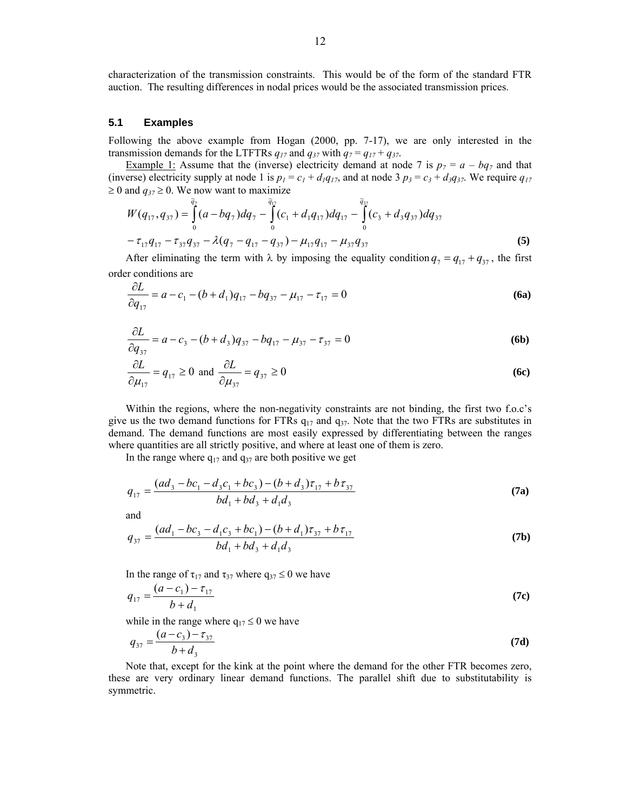characterization of the transmission constraints. This would be of the form of the standard FTR auction. The resulting differences in nodal prices would be the associated transmission prices.

### **5.1 Examples**

Following the above example from Hogan (2000, pp. 7-17), we are only interested in the transmission demands for the LTFTRs  $q_{17}$  and  $q_{37}$  with  $q_7 = q_{17} + q_{37}$ .

Example 1: Assume that the (inverse) electricity demand at node 7 is  $p_7 = a - bq_7$  and that (inverse) electricity supply at node 1 is  $p_1 = c_1 + d_1q_{17}$ , and at node 3  $p_3 = c_3 + d_3q_{37}$ . We require  $q_{17}$  $\geq 0$  and  $q_{37} \geq 0$ . We now want to maximize

$$
W(q_{17}, q_{37}) = \int_{0}^{\tilde{q}_7} (a - bq_7) dq_7 - \int_{0}^{\tilde{q}_{17}} (c_1 + d_1 q_{17}) dq_{17} - \int_{0}^{\tilde{q}_{37}} (c_3 + d_3 q_{37}) dq_{37}
$$

$$
-\tau_{17}q_{17} - \tau_{37}q_{37} - \lambda (q_7 - q_{17} - q_{37}) - \mu_{17}q_{17} - \mu_{37}q_{37}
$$
(5)

After eliminating the term with  $\lambda$  by imposing the equality condition  $q_7 = q_{17} + q_{37}$ , the first order conditions are

$$
\frac{\partial L}{\partial q_{17}} = a - c_1 - (b + d_1)q_{17} - bq_{37} - \mu_{17} - \tau_{17} = 0
$$
\n(6a)

$$
\frac{\partial L}{\partial q_{37}} = a - c_3 - (b + d_3)q_{37} - bq_{17} - \mu_{37} - \tau_{37} = 0
$$
\n(6b)

$$
\frac{\partial L}{\partial \mu_{17}} = q_{17} \ge 0 \text{ and } \frac{\partial L}{\partial \mu_{37}} = q_{37} \ge 0
$$
 (6c)

Within the regions, where the non-negativity constraints are not binding, the first two f.o.c's give us the two demand functions for FTRs  $q_{17}$  and  $q_{37}$ . Note that the two FTRs are substitutes in demand. The demand functions are most easily expressed by differentiating between the ranges where quantities are all strictly positive, and where at least one of them is zero.

In the range where  $q_{17}$  and  $q_{37}$  are both positive we get

$$
q_{17} = \frac{(ad_3 - bc_1 - d_3c_1 + bc_3) - (b + d_3)\tau_{17} + b\tau_{37}}{bd_1 + bd_3 + d_1d_3}
$$
 (7a)

and

$$
q_{37} = \frac{(ad_1 - bc_3 - d_1c_3 + bc_1) - (b + d_1)\tau_{37} + b\tau_{17}}{bd_1 + bd_3 + d_1d_3}
$$
 (7b)

In the range of  $\tau_{17}$  and  $\tau_{37}$  where  $q_{37} \le 0$  we have

$$
q_{17} = \frac{(a - c_1) - \tau_{17}}{b + d_1} \tag{7c}
$$

while in the range where  $q_{17} \le 0$  we have

$$
q_{37} = \frac{(a - c_3) - \tau_{37}}{b + d_3} \tag{7d}
$$

Note that, except for the kink at the point where the demand for the other FTR becomes zero, these are very ordinary linear demand functions. The parallel shift due to substitutability is symmetric.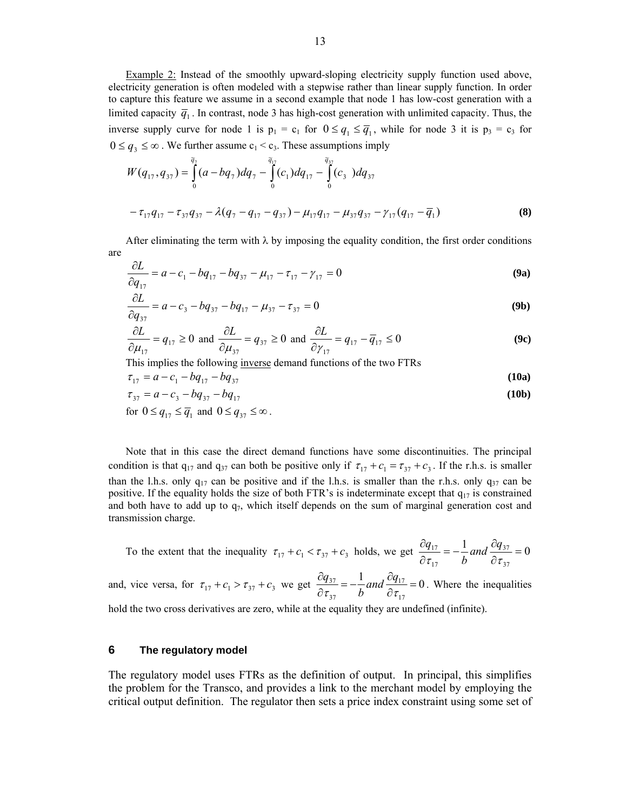Example 2: Instead of the smoothly upward-sloping electricity supply function used above, electricity generation is often modeled with a stepwise rather than linear supply function. In order to capture this feature we assume in a second example that node 1 has low-cost generation with a limited capacity  $\overline{q}_1$ . In contrast, node 3 has high-cost generation with unlimited capacity. Thus, the inverse supply curve for node 1 is  $p_1 = c_1$  for  $0 \le q_1 \le \overline{q}_1$ , while for node 3 it is  $p_3 = c_3$  for  $0 \le q_3 \le \infty$ . We further assume  $c_1 < c_3$ . These assumptions imply

$$
W(q_{17}, q_{37}) = \int_{0}^{\tilde{q}_7} (a - bq_7) dq_7 - \int_{0}^{\tilde{q}_{17}} (c_1) dq_{17} - \int_{0}^{\tilde{q}_{37}} (c_3) dq_{37}
$$
  
-  $\tau_{17}q_{17} - \tau_{37}q_{37} - \lambda(q_7 - q_{17} - q_{37}) - \mu_{17}q_{17} - \mu_{37}q_{37} - \gamma_{17}(q_{17} - \overline{q}_1)$  (8)

After eliminating the term with  $\lambda$  by imposing the equality condition, the first order conditions are

$$
\frac{\partial L}{\partial q_{17}} = a - c_1 - b q_{17} - b q_{37} - \mu_{17} - \tau_{17} - \gamma_{17} = 0
$$
\n(9a)

$$
\frac{\partial L}{\partial q_{37}} = a - c_3 - b q_{37} - b q_{17} - \mu_{37} - \tau_{37} = 0
$$
\n(9b)

$$
\frac{\partial L}{\partial \mu_{17}} = q_{17} \ge 0 \text{ and } \frac{\partial L}{\partial \mu_{37}} = q_{37} \ge 0 \text{ and } \frac{\partial L}{\partial \gamma_{17}} = q_{17} - \overline{q}_{17} \le 0 \tag{9c}
$$

This implies the following inverse demand functions of the two FTRs

$$
\tau_{17} = a - c_1 - b q_{17} - b q_{37} \tag{10a}
$$

$$
\tau_{37} = a - c_3 - b q_{37} - b q_{17} \tag{10b}
$$

for 
$$
0 \le q_{17} \le \overline{q}_1
$$
 and  $0 \le q_{37} \le \infty$ .

Note that in this case the direct demand functions have some discontinuities. The principal condition is that  $q_{17}$  and  $q_{37}$  can both be positive only if  $\tau_{17} + c_1 = \tau_{37} + c_3$ . If the r.h.s. is smaller than the l.h.s. only  $q_{17}$  can be positive and if the l.h.s. is smaller than the r.h.s. only  $q_{37}$  can be positive. If the equality holds the size of both FTR's is indeterminate except that  $q_{17}$  is constrained and both have to add up to  $q_7$ , which itself depends on the sum of marginal generation cost and transmission charge.

To the extent that the inequality  $\tau_{17} + c_1 < \tau_{37} + c_3$  holds, we get  $\frac{\partial q_{17}}{\partial \tau_{17}} = -\frac{1}{L}$  and  $\frac{\partial q_{37}}{\partial \tau_{27}} = 0$ 37 37  $\frac{\partial q_{17}}{\partial \tau_{17}} = -\frac{1}{b}$  and  $\frac{\partial q_{37}}{\partial \tau_{37}} =$  $\frac{q_{17}}{r_{17}} = -\frac{1}{b}$  and  $\frac{\partial q}{\partial \tau}$ *b q*

and, vice versa, for  $\tau_{17} + c_1 > \tau_{37} + c_3$  we get  $\frac{\partial q_{37}}{\partial \tau_{17}} = -\frac{1}{\tau_1}$  and  $\frac{\partial q_{17}}{\partial \tau_{17}} = 0$ 17 17  $\frac{\partial q_{37}}{\partial \tau_{37}} = -\frac{1}{b}$  and  $\frac{\partial q_{17}}{\partial \tau_{17}} =$  $\frac{q_{37}}{r_{37}} = -\frac{1}{b}$  and  $\frac{\partial q}{\partial \tau}$ *b*  $q_{37} = -\frac{1}{2}$  and  $\frac{\partial q_{17}}{\partial q_{17}} = 0$ . Where the inequalities

hold the two cross derivatives are zero, while at the equality they are undefined (infinite).

### **6 The regulatory model**

The regulatory model uses FTRs as the definition of output. In principal, this simplifies the problem for the Transco, and provides a link to the merchant model by employing the critical output definition. The regulator then sets a price index constraint using some set of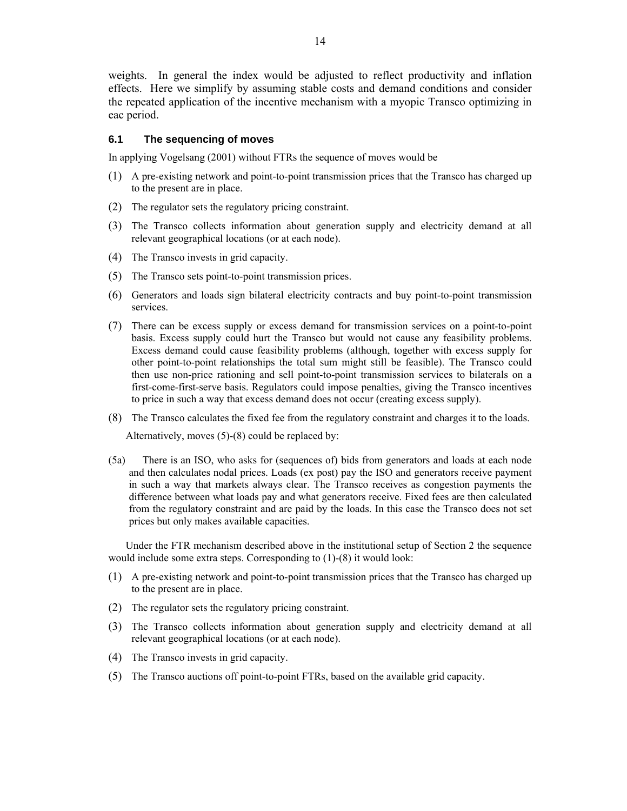weights. In general the index would be adjusted to reflect productivity and inflation effects. Here we simplify by assuming stable costs and demand conditions and consider the repeated application of the incentive mechanism with a myopic Transco optimizing in eac period.

# **6.1 The sequencing of moves**

In applying Vogelsang (2001) without FTRs the sequence of moves would be

- (1) A pre-existing network and point-to-point transmission prices that the Transco has charged up to the present are in place.
- (2) The regulator sets the regulatory pricing constraint.
- (3) The Transco collects information about generation supply and electricity demand at all relevant geographical locations (or at each node).
- (4) The Transco invests in grid capacity.
- (5) The Transco sets point-to-point transmission prices.
- (6) Generators and loads sign bilateral electricity contracts and buy point-to-point transmission services.
- (7) There can be excess supply or excess demand for transmission services on a point-to-point basis. Excess supply could hurt the Transco but would not cause any feasibility problems. Excess demand could cause feasibility problems (although, together with excess supply for other point-to-point relationships the total sum might still be feasible). The Transco could then use non-price rationing and sell point-to-point transmission services to bilaterals on a first-come-first-serve basis. Regulators could impose penalties, giving the Transco incentives to price in such a way that excess demand does not occur (creating excess supply).
- (8) The Transco calculates the fixed fee from the regulatory constraint and charges it to the loads. Alternatively, moves (5)-(8) could be replaced by:
- (5a) There is an ISO, who asks for (sequences of) bids from generators and loads at each node and then calculates nodal prices. Loads (ex post) pay the ISO and generators receive payment in such a way that markets always clear. The Transco receives as congestion payments the difference between what loads pay and what generators receive. Fixed fees are then calculated from the regulatory constraint and are paid by the loads. In this case the Transco does not set prices but only makes available capacities.

Under the FTR mechanism described above in the institutional setup of Section 2 the sequence would include some extra steps. Corresponding to (1)-(8) it would look:

- (1) A pre-existing network and point-to-point transmission prices that the Transco has charged up to the present are in place.
- (2) The regulator sets the regulatory pricing constraint.
- (3) The Transco collects information about generation supply and electricity demand at all relevant geographical locations (or at each node).
- (4) The Transco invests in grid capacity.
- (5) The Transco auctions off point-to-point FTRs, based on the available grid capacity.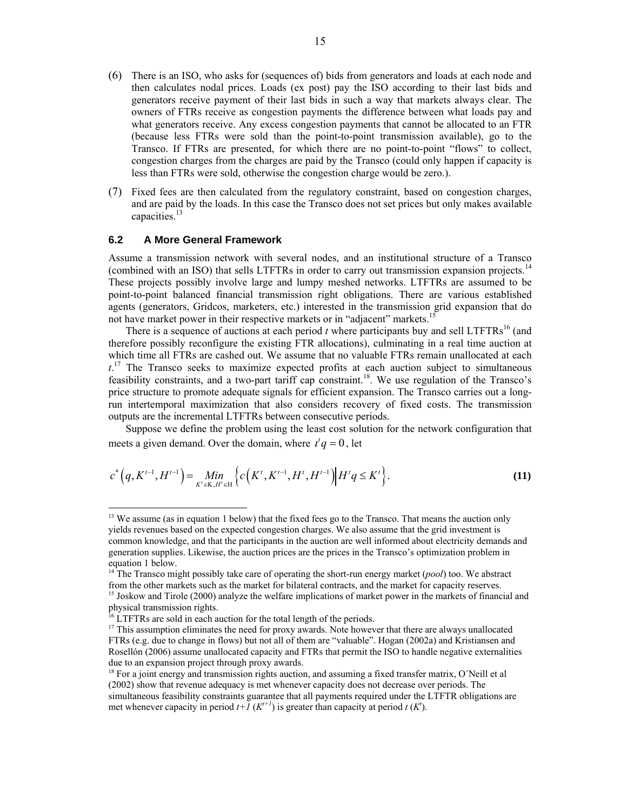- (6) There is an ISO, who asks for (sequences of) bids from generators and loads at each node and then calculates nodal prices. Loads (ex post) pay the ISO according to their last bids and generators receive payment of their last bids in such a way that markets always clear. The owners of FTRs receive as congestion payments the difference between what loads pay and what generators receive. Any excess congestion payments that cannot be allocated to an FTR (because less FTRs were sold than the point-to-point transmission available), go to the Transco. If FTRs are presented, for which there are no point-to-point "flows" to collect, congestion charges from the charges are paid by the Transco (could only happen if capacity is less than FTRs were sold, otherwise the congestion charge would be zero.).
- (7) Fixed fees are then calculated from the regulatory constraint, based on congestion charges, and are paid by the loads. In this case the Transco does not set prices but only makes available capacities.13

# **6.2 A More General Framework**

l

Assume a transmission network with several nodes, and an institutional structure of a Transco (combined with an ISO) that sells LTFTRs in order to carry out transmission expansion projects.<sup>14</sup> These projects possibly involve large and lumpy meshed networks. LTFTRs are assumed to be point-to-point balanced financial transmission right obligations. There are various established agents (generators, Gridcos, marketers, etc.) interested in the transmission grid expansion that do not have market power in their respective markets or in "adjacent" markets.<sup>15</sup>

There is a sequence of auctions at each period  $t$  where participants buy and sell LTFTRs<sup>16</sup> (and therefore possibly reconfigure the existing FTR allocations), culminating in a real time auction at which time all FTRs are cashed out. We assume that no valuable FTRs remain unallocated at each  $t$ <sup>17</sup>. The Transco seeks to maximize expected profits at each auction subject to simultaneous feasibility constraints, and a two-part tariff cap constraint.<sup>18</sup>. We use regulation of the Transco's price structure to promote adequate signals for efficient expansion. The Transco carries out a longrun intertemporal maximization that also considers recovery of fixed costs. The transmission outputs are the incremental LTFTRs between consecutive periods.

Suppose we define the problem using the least cost solution for the network configuration that meets a given demand. Over the domain, where  $t<sup>t</sup>q = 0$ , let

$$
c^*\left(q, K^{t-1}, H^{t-1}\right) = \underset{K^t \in K, H^t \in H}{Min} \left\{ c\left(K^t, K^{t-1}, H^t, H^{t-1}\right) \middle| H^t q \le K^t \right\}.
$$
\n(11)

<sup>&</sup>lt;sup>13</sup> We assume (as in equation 1 below) that the fixed fees go to the Transco. That means the auction only yields revenues based on the expected congestion charges. We also assume that the grid investment is common knowledge, and that the participants in the auction are well informed about electricity demands and generation supplies. Likewise, the auction prices are the prices in the Transco's optimization problem in equation 1 below.

<sup>&</sup>lt;sup>14</sup> The Transco might possibly take care of operating the short-run energy market (*pool*) too. We abstract from the other markets such as the market for bilateral contracts, and the market for capacity reserves.  $<sup>15</sup>$  Joskow and Tirole (2000) analyze the welfare implications of market power in the markets of financial and</sup> physical transmission rights.

<sup>&</sup>lt;sup>16</sup> LTFTRs are sold in each auction for the total length of the periods.

<sup>&</sup>lt;sup>17</sup> This assumption eliminates the need for proxy awards. Note however that there are always unallocated FTRs (e.g. due to change in flows) but not all of them are "valuable". Hogan (2002a) and Kristiansen and Rosellón (2006) assume unallocated capacity and FTRs that permit the ISO to handle negative externalities due to an expansion project through proxy awards.

<sup>&</sup>lt;sup>18</sup> For a joint energy and transmission rights auction, and assuming a fixed transfer matrix, O´Neill et al (2002) show that revenue adequacy is met whenever capacity does not decrease over periods. The simultaneous feasibility constraints guarantee that all payments required under the LTFTR obligations are met whenever capacity in period  $t+I(K^{t+1})$  is greater than capacity at period  $t(K^t)$ .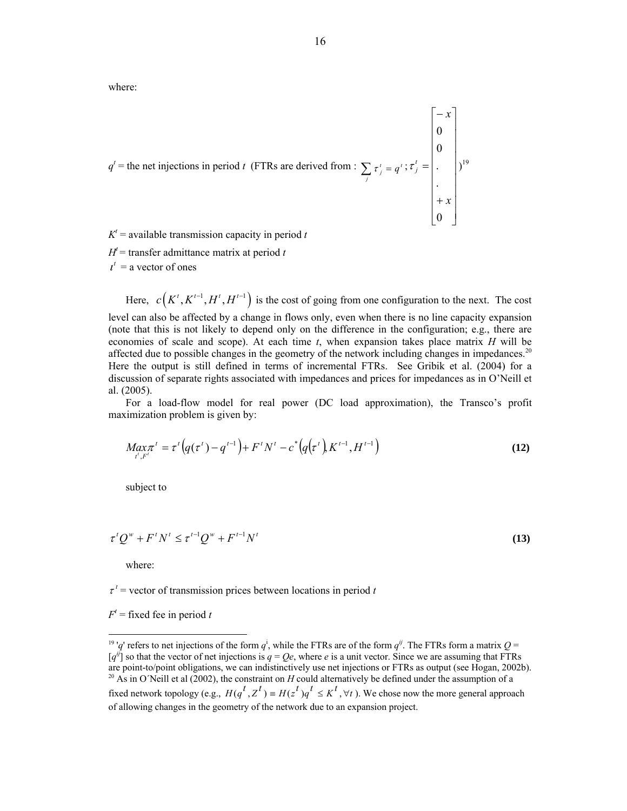where:

$$
q^{t} = \text{the net injections in period } t \text{ (FTRs are derived from : } \sum_{j} \tau_{j}^{t} = q^{t}; \tau_{j}^{t} = \begin{bmatrix} -x \\ 0 \\ 0 \\ \vdots \\ -x \\ 0 \end{bmatrix})^{19}
$$

 $K<sup>t</sup>$  = available transmission capacity in period *t* 

 $H<sup>t</sup>$  = transfer admittance matrix at period *t* 

 $i^t$  = a vector of ones

Here,  $c(K^t, K^{t-1}, H^t, H^{t-1})$  is the cost of going from one configuration to the next. The cost level can also be affected by a change in flows only, even when there is no line capacity expansion (note that this is not likely to depend only on the difference in the configuration; e.g., there are economies of scale and scope). At each time *t*, when expansion takes place matrix *H* will be affected due to possible changes in the geometry of the network including changes in impedances.<sup>20</sup> Here the output is still defined in terms of incremental FTRs. See Gribik et al. (2004) for a discussion of separate rights associated with impedances and prices for impedances as in O'Neill et al. (2005).

For a load-flow model for real power (DC load approximation), the Transco's profit maximization problem is given by:

$$
Max\pi^{t} = \tau^{t}(q(\tau^{t}) - q^{t-1}) + F^{t}N^{t} - c^{*}(q(\tau^{t}), K^{t-1}, H^{t-1})
$$
\n(12)

subject to

$$
\tau^{t}Q^{w} + F^{t}N^{t} \leq \tau^{t-1}Q^{w} + F^{t-1}N^{t}
$$
\n(13)

where:

 $\overline{a}$ 

 $\tau^t$  = vector of transmission prices between locations in period *t* 

of allowing changes in the geometry of the network due to an expansion project.

 $F^t$  = fixed fee in period *t* 

<sup>&</sup>lt;sup>19</sup> '*q*' refers to net injections of the form  $q^i$ , while the FTRs are of the form  $q^{ij}$ . The FTRs form a matrix  $Q =$  $[q^{ij}]$  so that the vector of net injections is  $q = Qe$ , where *e* is a unit vector. Since we are assuming that FTRs are point-to/point obligations, we can indistinctively use net injections or FTRs as output (see Hogan, 2002b).<br><sup>20</sup> As in O'Neill et al (2002), the constraint on *H* could alternatively be defined under the assumption of fixed network topology (e.g.,  $H(q^t, Z^t) = H(z^t)q^t \leq K^t, \forall t$ ). We chose now the more general approach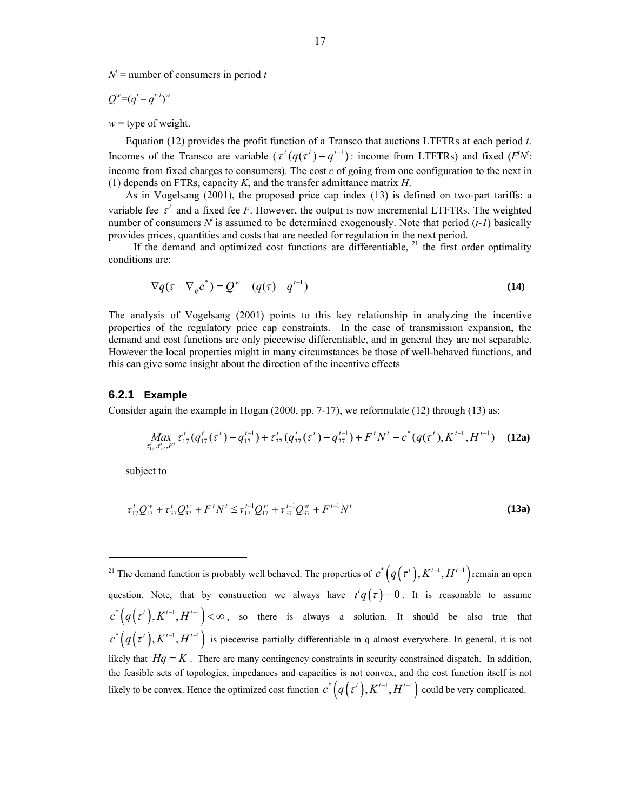$N<sup>t</sup>$  = number of consumers in period *t* 

$$
Q^w=(q^t-q^{t-1})^w
$$

 $w =$  type of weight.

Equation (12) provides the profit function of a Transco that auctions LTFTRs at each period *t*. Incomes of the Transco are variable  $(\tau^t (q(\tau^t) - q^{t-1}))$ : income from LTFTRs) and fixed  $(F^t N^t)$ : income from fixed charges to consumers). The cost *c* of going from one configuration to the next in (1) depends on FTRs, capacity *K*, and the transfer admittance matrix *H*.

As in Vogelsang (2001), the proposed price cap index (13) is defined on two-part tariffs: a variable fee  $\tau^t$  and a fixed fee *F*. However, the output is now incremental LTFTRs. The weighted number of consumers  $N<sup>t</sup>$  is assumed to be determined exogenously. Note that period  $(t-1)$  basically provides prices, quantities and costs that are needed for regulation in the next period.

If the demand and optimized cost functions are differentiable,  $^{21}$  the first order optimality conditions are:

$$
\nabla q(\tau - \nabla_q c^*) = Q^{\mathbf{w}} - (q(\tau) - q^{t-1})
$$
\n(14)

The analysis of Vogelsang (2001) points to this key relationship in analyzing the incentive properties of the regulatory price cap constraints. In the case of transmission expansion, the demand and cost functions are only piecewise differentiable, and in general they are not separable. However the local properties might in many circumstances be those of well-behaved functions, and this can give some insight about the direction of the incentive effects

### **6.2.1 Example**

Consider again the example in Hogan (2000, pp. 7-17), we reformulate (12) through (13) as:

$$
\underset{\tau_{17}^t,\tau_{37}^t,\Gamma'}{\text{Max}} \tau_{17}^t (q_{17}^t (\tau^t) - q_{17}^{t-1}) + \tau_{37}^t (q_{37}^t (\tau^t) - q_{37}^{t-1}) + F^t N^t - c^* (q(\tau^t), K^{t-1}, H^{t-1}) \quad (12a)
$$

subject to

l

$$
\tau_{17}^{\prime}Q_{17}^{\prime\prime} + \tau_{37}^{\prime}Q_{37}^{\prime\prime} + F^{\prime}N^{\prime} \leq \tau_{17}^{\prime -1}Q_{17}^{\prime\prime} + \tau_{37}^{\prime -1}Q_{37}^{\prime\prime} + F^{\prime -1}N^{\prime}
$$
\n(13a)

<sup>21</sup> The demand function is probably well behaved. The properties of  $c^* (q(\tau), K^{t-1}, H^{t-1})$  remain an open question. Note, that by construction we always have  $t^{\dagger}q(\tau)=0$ . It is reasonable to assume  $c^*\big(q(\tau), K^{t-1}, H^{t-1}\big) < \infty$ , so there is always a solution. It should be also true that  $c^* (q(\tau), K^{t-1}, H^{t-1})$  is piecewise partially differentiable in q almost everywhere. In general, it is not likely that  $Hq = K$ . There are many contingency constraints in security constrained dispatch. In addition, the feasible sets of topologies, impedances and capacities is not convex, and the cost function itself is not likely to be convex. Hence the optimized cost function  $c^* ( q ( \tau^t ) , K^{t-1} , H^{t-1} )$  could be very complicated.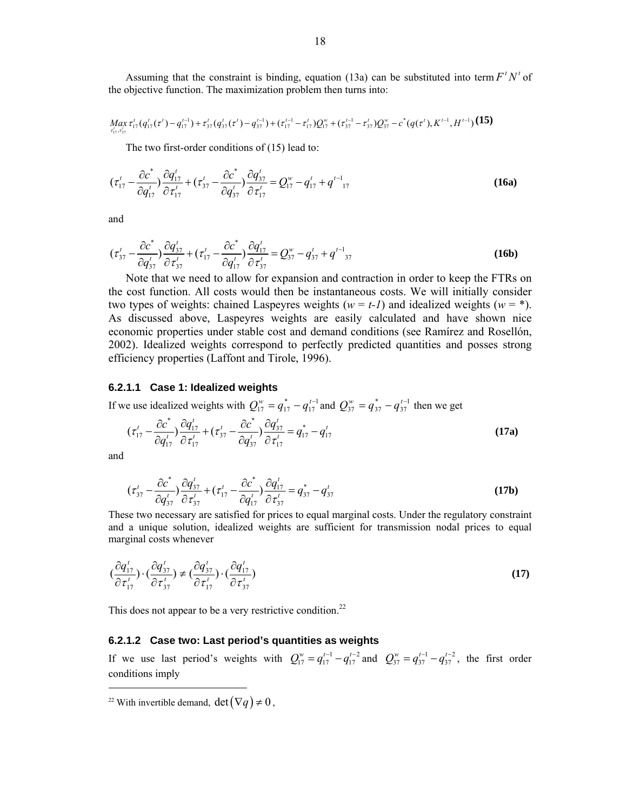Assuming that the constraint is binding, equation (13a) can be substituted into term  $F<sup>t</sup>N<sup>t</sup>$  of the objective function. The maximization problem then turns into:

$$
\underset{r'_{17},r'_{37}}{\text{Max }} \tau'_{17}(q'_{17}(\tau')-q_{17}^{\prime -1})+\tau'_{37}(q'_{37}(\tau')-q_{37}^{\prime -1})+(\tau'^{-1}_{17}-\tau'_{17})Q^{\text{w}}_{17}+(\tau'^{-1}_{37}-\tau'_{37})Q^{\text{w}}_{37}-c^{*}(q(\tau'), K'^{-1}, H'^{-1}) \textbf{(15)}
$$

The two first-order conditions of (15) lead to:

$$
(\tau_{17}^t - \frac{\partial c^*}{\partial q_{17}^t}) \frac{\partial q_{17}^t}{\partial \tau_{17}^t} + (\tau_{37}^t - \frac{\partial c^*}{\partial q_{37}^t}) \frac{\partial q_{37}^t}{\partial \tau_{17}^t} = Q_{17}^w - q_{17}^t + q_{17}^{t-1}
$$
\n(16a)

and

$$
(\tau_{37}^t - \frac{\partial c^*}{\partial q_{37}^t}) \frac{\partial q_{37}^t}{\partial \tau_{37}^t} + (\tau_{17}^t - \frac{\partial c^*}{\partial q_{17}^t}) \frac{\partial q_{17}^t}{\partial \tau_{37}^t} = Q_{37}^w - q_{37}^t + q^{t-1}_{37}
$$
(16b)

Note that we need to allow for expansion and contraction in order to keep the FTRs on the cost function. All costs would then be instantaneous costs. We will initially consider two types of weights: chained Laspeyres weights ( $w = t-1$ ) and idealized weights ( $w = *$ ). As discussed above, Laspeyres weights are easily calculated and have shown nice economic properties under stable cost and demand conditions (see Ramírez and Rosellón, 2002). Idealized weights correspond to perfectly predicted quantities and posses strong efficiency properties (Laffont and Tirole, 1996).

# **6.2.1.1 Case 1: Idealized weights**

If we use idealized weights with  $Q_{17}^w = q_{17}^* - q_{17}^{t-1}$  and  $Q_{37}^w = q_{37}^* - q_{37}^{t-1}$  then we get

$$
(\tau_{17}^t - \frac{\partial c^*}{\partial q_{17}^t}) \frac{\partial q_{17}^t}{\partial \tau_{17}^t} + (\tau_{37}^t - \frac{\partial c^*}{\partial q_{37}^t}) \frac{\partial q_{37}^t}{\partial \tau_{17}^t} = q_{17}^t - q_{17}^t
$$
\n(17a)

and

l

$$
(\tau_{37}^t - \frac{\partial c^*}{\partial q_{37}^t}) \frac{\partial q_{37}^t}{\partial \tau_{37}^t} + (\tau_{17}^t - \frac{\partial c^*}{\partial q_{17}^t}) \frac{\partial q_{17}^t}{\partial \tau_{37}^t} = q_{37}^* - q_{37}^t
$$
 (17b)

These two necessary are satisfied for prices to equal marginal costs. Under the regulatory constraint and a unique solution, idealized weights are sufficient for transmission nodal prices to equal marginal costs whenever

$$
\left(\frac{\partial q_{17}^i}{\partial \tau_{17}^i}\right) \cdot \left(\frac{\partial q_{37}^i}{\partial \tau_{37}^i}\right) \neq \left(\frac{\partial q_{37}^i}{\partial \tau_{17}^i}\right) \cdot \left(\frac{\partial q_{17}^i}{\partial \tau_{37}^i}\right) \tag{17}
$$

This does not appear to be a very restrictive condition.<sup>22</sup>

# **6.2.1.2 Case two: Last period's quantities as weights**

If we use last period's weights with  $Q_{17}^w = q_{17}^{t-1} - q_{17}^{t-2}$  and  $Q_{37}^w = q_{37}^{t-1} - q_{37}^{t-2}$ , the first order conditions imply

<sup>&</sup>lt;sup>22</sup> With invertible demand, det  $(\nabla q) \neq 0$ ,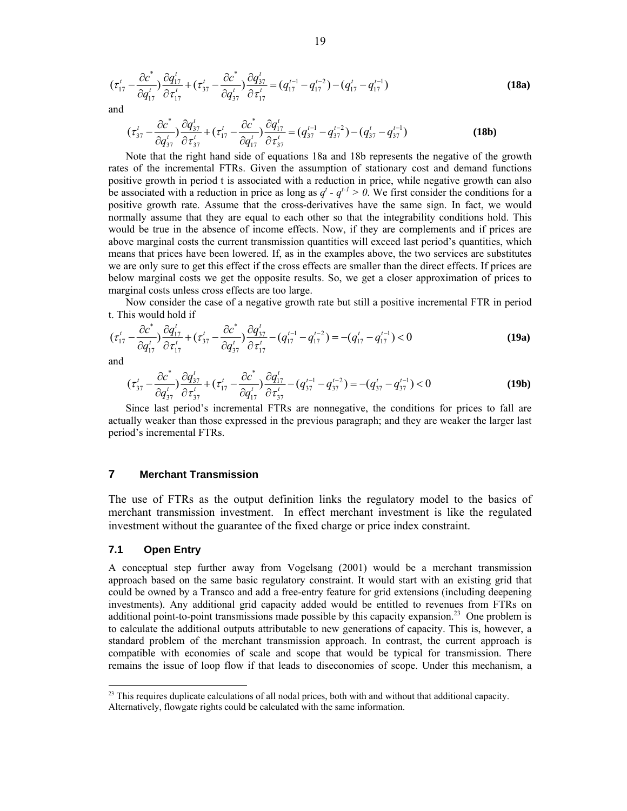$$
(\tau_{17}^t - \frac{\partial c^*}{\partial q_{17}^t}) \frac{\partial q_{17}^t}{\partial \tau_{17}^t} + (\tau_{37}^t - \frac{\partial c^*}{\partial q_{37}^t}) \frac{\partial q_{37}^t}{\partial \tau_{17}^t} = (q_{17}^{t-1} - q_{17}^{t-2}) - (q_{17}^t - q_{17}^{t-1})
$$
\n(18a)

and  
\n
$$
(\tau_{37}^t - \frac{\partial c^*}{\partial q_{37}^t}) \frac{\partial q_{37}^t}{\partial \tau_{37}^t} + (\tau_{17}^t - \frac{\partial c^*}{\partial q_{17}^t}) \frac{\partial q_{17}^t}{\partial \tau_{37}^t} = (q_{37}^{t-1} - q_{37}^{t-2}) - (q_{37}^t - q_{37}^{t-1})
$$
\n(18b)

Note that the right hand side of equations 18a and 18b represents the negative of the growth rates of the incremental FTRs. Given the assumption of stationary cost and demand functions positive growth in period t is associated with a reduction in price, while negative growth can also be associated with a reduction in price as long as  $q^t$  -  $q^{t-1} > 0$ . We first consider the conditions for a positive growth rate. Assume that the cross-derivatives have the same sign. In fact, we would normally assume that they are equal to each other so that the integrability conditions hold. This would be true in the absence of income effects. Now, if they are complements and if prices are above marginal costs the current transmission quantities will exceed last period's quantities, which means that prices have been lowered. If, as in the examples above, the two services are substitutes we are only sure to get this effect if the cross effects are smaller than the direct effects. If prices are below marginal costs we get the opposite results. So, we get a closer approximation of prices to marginal costs unless cross effects are too large.

Now consider the case of a negative growth rate but still a positive incremental FTR in period t. This would hold if

$$
(\tau_{17}^t - \frac{\partial c^*}{\partial q_{17}^t}) \frac{\partial q_{17}^t}{\partial \tau_{17}^t} + (\tau_{37}^t - \frac{\partial c^*}{\partial q_{37}^t}) \frac{\partial q_{37}^t}{\partial \tau_{17}^t} - (q_{17}^{t-1} - q_{17}^{t-2}) = -(q_{17}^t - q_{17}^{t-1}) < 0
$$
\n(19a)

and  
\n
$$
(\tau_{37}^t - \frac{\partial c^*}{\partial q_{37}^t}) \frac{\partial q_{37}^t}{\partial \tau_{37}^t} + (\tau_{17}^t - \frac{\partial c^*}{\partial q_{17}^t}) \frac{\partial q_{17}^t}{\partial \tau_{37}^t} - (q_{37}^{t-1} - q_{37}^{t-2}) = -(q_{37}^t - q_{37}^{t-1}) < 0
$$
\n(19b)

Since last period's incremental FTRs are nonnegative, the conditions for prices to fall are actually weaker than those expressed in the previous paragraph; and they are weaker the larger last period's incremental FTRs.

# **7 Merchant Transmission**

The use of FTRs as the output definition links the regulatory model to the basics of merchant transmission investment. In effect merchant investment is like the regulated investment without the guarantee of the fixed charge or price index constraint.

# **7.1 Open Entry**

A conceptual step further away from Vogelsang (2001) would be a merchant transmission approach based on the same basic regulatory constraint. It would start with an existing grid that could be owned by a Transco and add a free-entry feature for grid extensions (including deepening investments). Any additional grid capacity added would be entitled to revenues from FTRs on additional point-to-point transmissions made possible by this capacity expansion.<sup>23</sup> One problem is to calculate the additional outputs attributable to new generations of capacity. This is, however, a standard problem of the merchant transmission approach. In contrast, the current approach is compatible with economies of scale and scope that would be typical for transmission. There remains the issue of loop flow if that leads to diseconomies of scope. Under this mechanism, a

 $^{23}$  This requires duplicate calculations of all nodal prices, both with and without that additional capacity. Alternatively, flowgate rights could be calculated with the same information.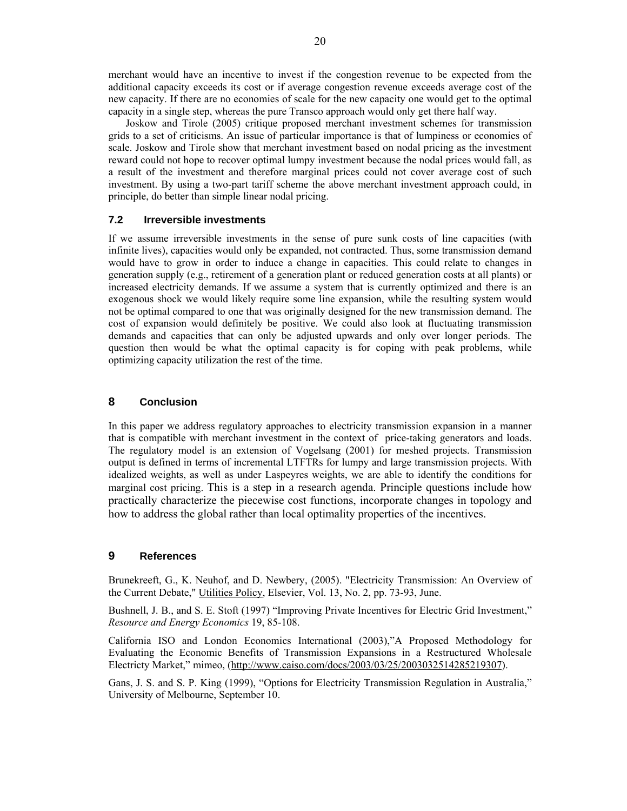merchant would have an incentive to invest if the congestion revenue to be expected from the additional capacity exceeds its cost or if average congestion revenue exceeds average cost of the new capacity. If there are no economies of scale for the new capacity one would get to the optimal capacity in a single step, whereas the pure Transco approach would only get there half way.

Joskow and Tirole (2005) critique proposed merchant investment schemes for transmission grids to a set of criticisms. An issue of particular importance is that of lumpiness or economies of scale. Joskow and Tirole show that merchant investment based on nodal pricing as the investment reward could not hope to recover optimal lumpy investment because the nodal prices would fall, as a result of the investment and therefore marginal prices could not cover average cost of such investment. By using a two-part tariff scheme the above merchant investment approach could, in principle, do better than simple linear nodal pricing.

# **7.2 Irreversible investments**

If we assume irreversible investments in the sense of pure sunk costs of line capacities (with infinite lives), capacities would only be expanded, not contracted. Thus, some transmission demand would have to grow in order to induce a change in capacities. This could relate to changes in generation supply (e.g., retirement of a generation plant or reduced generation costs at all plants) or increased electricity demands. If we assume a system that is currently optimized and there is an exogenous shock we would likely require some line expansion, while the resulting system would not be optimal compared to one that was originally designed for the new transmission demand. The cost of expansion would definitely be positive. We could also look at fluctuating transmission demands and capacities that can only be adjusted upwards and only over longer periods. The question then would be what the optimal capacity is for coping with peak problems, while optimizing capacity utilization the rest of the time.

# **8 Conclusion**

In this paper we address regulatory approaches to electricity transmission expansion in a manner that is compatible with merchant investment in the context of price-taking generators and loads. The regulatory model is an extension of Vogelsang (2001) for meshed projects. Transmission output is defined in terms of incremental LTFTRs for lumpy and large transmission projects. With idealized weights, as well as under Laspeyres weights, we are able to identify the conditions for marginal cost pricing. This is a step in a research agenda. Principle questions include how practically characterize the piecewise cost functions, incorporate changes in topology and how to address the global rather than local optimality properties of the incentives.

# **9 References**

Brunekreeft, G., K. Neuhof, and D. Newbery, (2005). "Electricity Transmission: An Overview of the Current Debate," Utilities Policy, Elsevier, Vol. 13, No. 2, pp. 73-93, June.

Bushnell, J. B., and S. E. Stoft (1997) "Improving Private Incentives for Electric Grid Investment," *Resource and Energy Economics* 19, 85-108.

California ISO and London Economics International (2003),"A Proposed Methodology for Evaluating the Economic Benefits of Transmission Expansions in a Restructured Wholesale Electricty Market," mimeo, (http://www.caiso.com/docs/2003/03/25/2003032514285219307).

Gans, J. S. and S. P. King (1999), "Options for Electricity Transmission Regulation in Australia," University of Melbourne, September 10.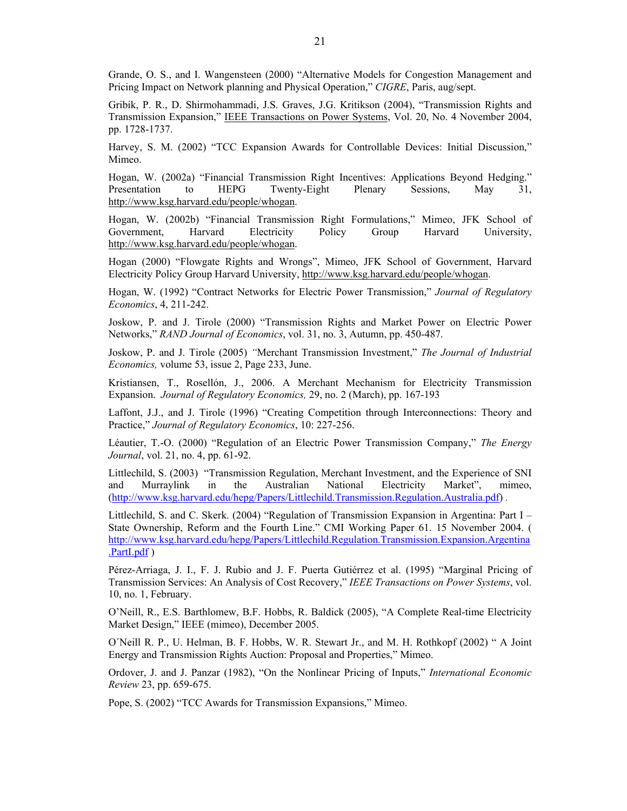Grande, O. S., and I. Wangensteen (2000) "Alternative Models for Congestion Management and Pricing Impact on Network planning and Physical Operation," *CIGRE*, Paris, aug/sept.

Gribik, P. R., D. Shirmohammadi, J.S. Graves, J.G. Kritikson (2004), "Transmission Rights and Transmission Expansion," IEEE Transactions on Power Systems, Vol. 20, No. 4 November 2004, pp. 1728-1737.

Harvey, S. M. (2002) "TCC Expansion Awards for Controllable Devices: Initial Discussion," Mimeo.

Hogan, W. (2002a) "Financial Transmission Right Incentives: Applications Beyond Hedging." Presentation to HEPG Twenty-Eight Plenary Sessions, May 31, http://www.ksg.harvard.edu/people/whogan.

Hogan, W. (2002b) "Financial Transmission Right Formulations," Mimeo, JFK School of Government, Harvard Electricity Policy Group Harvard University, http://www.ksg.harvard.edu/people/whogan.

Hogan (2000) "Flowgate Rights and Wrongs", Mimeo, JFK School of Government, Harvard Electricity Policy Group Harvard University, http://www.ksg.harvard.edu/people/whogan.

Hogan, W. (1992) "Contract Networks for Electric Power Transmission," *Journal of Regulatory Economics*, 4, 211-242.

Joskow, P. and J. Tirole (2000) "Transmission Rights and Market Power on Electric Power Networks," *RAND Journal of Economics*, vol. 31, no. 3, Autumn, pp. 450-487.

Joskow, P. and J. Tirole (2005) *"*Merchant Transmission Investment," *The Journal of Industrial Economics,* volume 53, issue 2, Page 233, June.

Kristiansen, T., Rosellón, J., 2006. A Merchant Mechanism for Electricity Transmission Expansion. *Journal of Regulatory Economics,* 29, no. 2 (March), pp. 167-193

Laffont, J.J., and J. Tirole (1996) "Creating Competition through Interconnections: Theory and Practice," *Journal of Regulatory Economics*, 10: 227-256.

Léautier, T.-O. (2000) "Regulation of an Electric Power Transmission Company," *The Energy Journal*, vol. 21, no. 4, pp. 61-92.

Littlechild, S. (2003) "Transmission Regulation, Merchant Investment, and the Experience of SNI and Murraylink in the Australian National Electricity Market", mimeo, (http://www.ksg.harvard.edu/hepg/Papers/Littlechild.Transmission.Regulation.Australia.pdf) *.* 

Littlechild, S. and C. Skerk. (2004) "Regulation of Transmission Expansion in Argentina: Part I – State Ownership, Reform and the Fourth Line." CMI Working Paper 61. 15 November 2004. ( http://www.ksg.harvard.edu/hepg/Papers/Littlechild.Regulation.Transmission.Expansion.Argentina .PartI.pdf )

Pérez-Arriaga, J. I., F. J. Rubio and J. F. Puerta Gutiérrez et al. (1995) "Marginal Pricing of Transmission Services: An Analysis of Cost Recovery," *IEEE Transactions on Power Systems*, vol. 10, no. 1, February.

O'Neill, R., E.S. Barthlomew, B.F. Hobbs, R. Baldick (2005), "A Complete Real-time Electricity Market Design," IEEE (mimeo), December 2005.

O´Neill R. P., U. Helman, B. F. Hobbs, W. R. Stewart Jr., and M. H. Rothkopf (2002) " A Joint Energy and Transmission Rights Auction: Proposal and Properties," Mimeo.

Ordover, J. and J. Panzar (1982), "On the Nonlinear Pricing of Inputs," *International Economic Review* 23, pp. 659-675.

Pope, S. (2002) "TCC Awards for Transmission Expansions," Mimeo.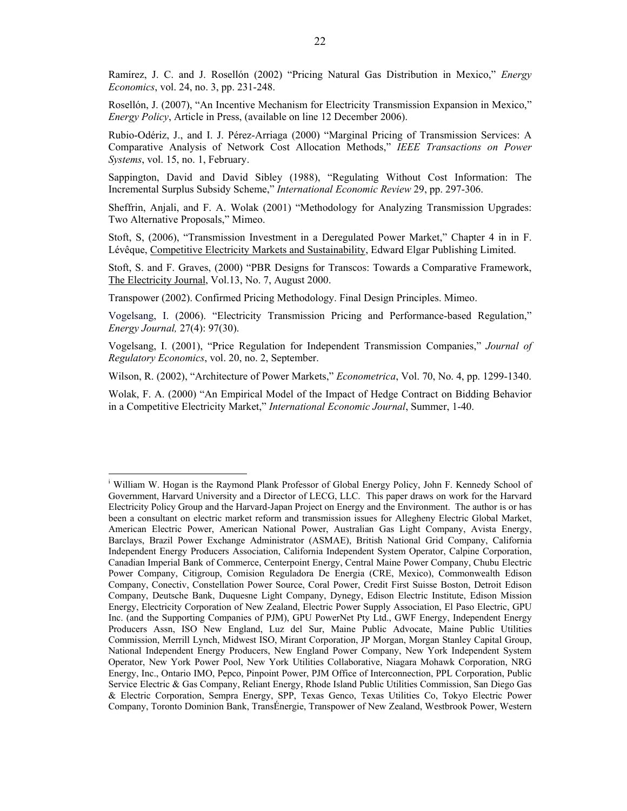Ramírez, J. C. and J. Rosellón (2002) "Pricing Natural Gas Distribution in Mexico," *Energy Economics*, vol. 24, no. 3, pp. 231-248.

Rosellón, J. (2007), "An Incentive Mechanism for Electricity Transmission Expansion in Mexico," *Energy Policy*, Article in Press, (available on line 12 December 2006).

Rubio-Odériz, J., and I. J. Pérez-Arriaga (2000) "Marginal Pricing of Transmission Services: A Comparative Analysis of Network Cost Allocation Methods," *IEEE Transactions on Power Systems*, vol. 15, no. 1, February.

Sappington, David and David Sibley (1988), "Regulating Without Cost Information: The Incremental Surplus Subsidy Scheme," *International Economic Review* 29, pp. 297-306.

Sheffrin, Anjali, and F. A. Wolak (2001) "Methodology for Analyzing Transmission Upgrades: Two Alternative Proposals," Mimeo.

Stoft, S, (2006), "Transmission Investment in a Deregulated Power Market," Chapter 4 in in F. Lévêque, Competitive Electricity Markets and Sustainability, Edward Elgar Publishing Limited.

Stoft, S. and F. Graves, (2000) "PBR Designs for Transcos: Towards a Comparative Framework, The Electricity Journal, Vol.13, No. 7, August 2000.

Transpower (2002). Confirmed Pricing Methodology. Final Design Principles. Mimeo.

Vogelsang, I. (2006). "Electricity Transmission Pricing and Performance-based Regulation," *Energy Journal,* 27(4): 97(30).

Vogelsang, I. (2001), "Price Regulation for Independent Transmission Companies," *Journal of Regulatory Economics*, vol. 20, no. 2, September.

Wilson, R. (2002), "Architecture of Power Markets," *Econometrica*, Vol. 70, No. 4, pp. 1299-1340.

Wolak, F. A. (2000) "An Empirical Model of the Impact of Hedge Contract on Bidding Behavior in a Competitive Electricity Market," *International Economic Journal*, Summer, 1-40.

<sup>&</sup>lt;sup>i</sup> William W. Hogan is the Raymond Plank Professor of Global Energy Policy, John F. Kennedy School of Government, Harvard University and a Director of LECG, LLC. This paper draws on work for the Harvard Electricity Policy Group and the Harvard-Japan Project on Energy and the Environment. The author is or has been a consultant on electric market reform and transmission issues for Allegheny Electric Global Market, American Electric Power, American National Power, Australian Gas Light Company, Avista Energy, Barclays, Brazil Power Exchange Administrator (ASMAE), British National Grid Company, California Independent Energy Producers Association, California Independent System Operator, Calpine Corporation, Canadian Imperial Bank of Commerce, Centerpoint Energy, Central Maine Power Company, Chubu Electric Power Company, Citigroup, Comision Reguladora De Energia (CRE, Mexico), Commonwealth Edison Company, Conectiv, Constellation Power Source, Coral Power, Credit First Suisse Boston, Detroit Edison Company, Deutsche Bank, Duquesne Light Company, Dynegy, Edison Electric Institute, Edison Mission Energy, Electricity Corporation of New Zealand, Electric Power Supply Association, El Paso Electric, GPU Inc. (and the Supporting Companies of PJM), GPU PowerNet Pty Ltd., GWF Energy, Independent Energy Producers Assn, ISO New England, Luz del Sur, Maine Public Advocate, Maine Public Utilities Commission, Merrill Lynch, Midwest ISO, Mirant Corporation, JP Morgan, Morgan Stanley Capital Group, National Independent Energy Producers, New England Power Company, New York Independent System Operator, New York Power Pool, New York Utilities Collaborative, Niagara Mohawk Corporation, NRG Energy, Inc., Ontario IMO, Pepco, Pinpoint Power, PJM Office of Interconnection, PPL Corporation, Public Service Electric & Gas Company, Reliant Energy, Rhode Island Public Utilities Commission, San Diego Gas & Electric Corporation, Sempra Energy, SPP, Texas Genco, Texas Utilities Co, Tokyo Electric Power Company, Toronto Dominion Bank, TransÉnergie, Transpower of New Zealand, Westbrook Power, Western